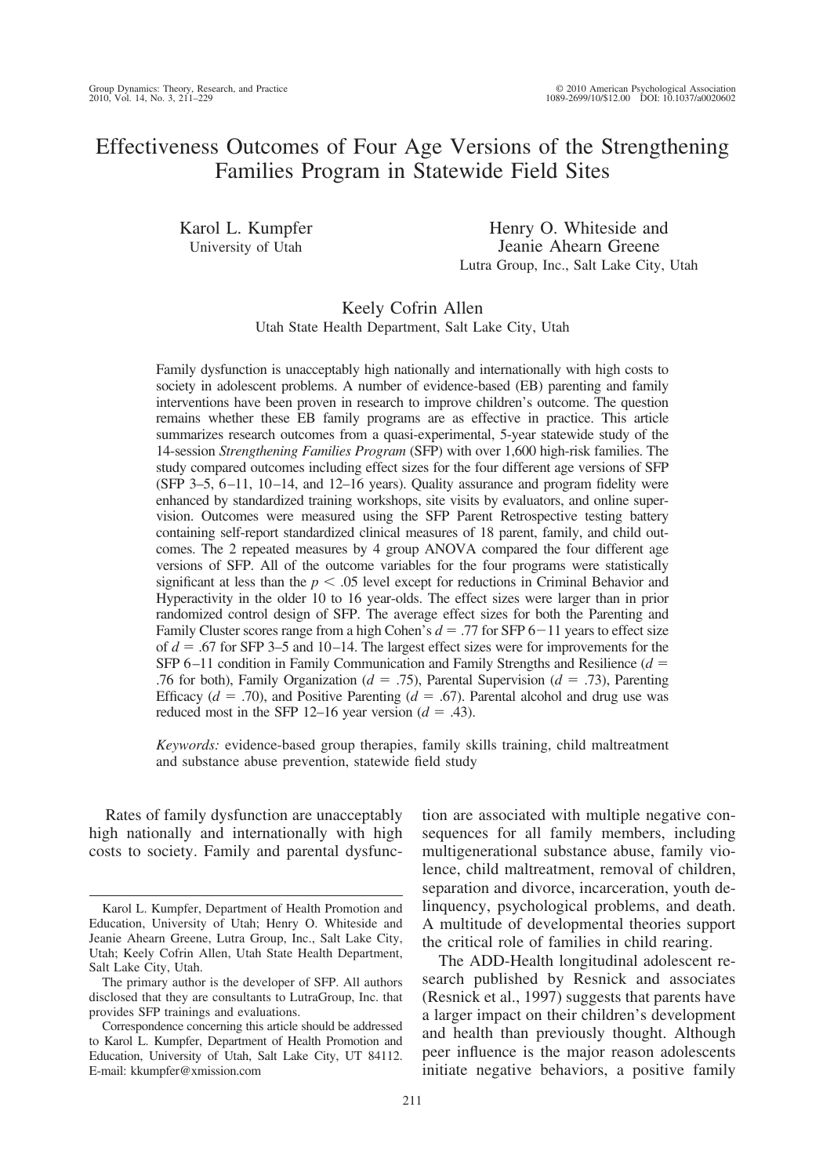# Effectiveness Outcomes of Four Age Versions of the Strengthening Families Program in Statewide Field Sites

Karol L. Kumpfer University of Utah

Henry O. Whiteside and Jeanie Ahearn Greene Lutra Group, Inc., Salt Lake City, Utah

# Keely Cofrin Allen Utah State Health Department, Salt Lake City, Utah

Family dysfunction is unacceptably high nationally and internationally with high costs to society in adolescent problems. A number of evidence-based (EB) parenting and family interventions have been proven in research to improve children's outcome. The question remains whether these EB family programs are as effective in practice. This article summarizes research outcomes from a quasi-experimental, 5-year statewide study of the 14-session *Strengthening Families Program* (SFP) with over 1,600 high-risk families. The study compared outcomes including effect sizes for the four different age versions of SFP (SFP 3–5, 6–11, 10–14, and 12–16 years). Quality assurance and program fidelity were enhanced by standardized training workshops, site visits by evaluators, and online supervision. Outcomes were measured using the SFP Parent Retrospective testing battery containing self-report standardized clinical measures of 18 parent, family, and child outcomes. The 2 repeated measures by 4 group ANOVA compared the four different age versions of SFP. All of the outcome variables for the four programs were statistically significant at less than the  $p < .05$  level except for reductions in Criminal Behavior and Hyperactivity in the older 10 to 16 year-olds. The effect sizes were larger than in prior randomized control design of SFP. The average effect sizes for both the Parenting and Family Cluster scores range from a high Cohen's  $d = .77$  for SFP 6-11 years to effect size of  $d = 0.67$  for SFP 3–5 and 10–14. The largest effect sizes were for improvements for the SFP 6–11 condition in Family Communication and Family Strengths and Resilience  $(d =$ .76 for both), Family Organization ( $d = .75$ ), Parental Supervision ( $d = .73$ ), Parenting Efficacy  $(d = .70)$ , and Positive Parenting  $(d = .67)$ . Parental alcohol and drug use was reduced most in the SFP 12-16 year version  $(d = .43)$ .

*Keywords:* evidence-based group therapies, family skills training, child maltreatment and substance abuse prevention, statewide field study

Rates of family dysfunction are unacceptably high nationally and internationally with high costs to society. Family and parental dysfunction are associated with multiple negative consequences for all family members, including multigenerational substance abuse, family violence, child maltreatment, removal of children, separation and divorce, incarceration, youth delinquency, psychological problems, and death. A multitude of developmental theories support the critical role of families in child rearing.

The ADD-Health longitudinal adolescent research published by Resnick and associates (Resnick et al., 1997) suggests that parents have a larger impact on their children's development and health than previously thought. Although peer influence is the major reason adolescents initiate negative behaviors, a positive family

Karol L. Kumpfer, Department of Health Promotion and Education, University of Utah; Henry O. Whiteside and Jeanie Ahearn Greene, Lutra Group, Inc., Salt Lake City, Utah; Keely Cofrin Allen, Utah State Health Department, Salt Lake City, Utah.

The primary author is the developer of SFP. All authors disclosed that they are consultants to LutraGroup, Inc. that provides SFP trainings and evaluations.

Correspondence concerning this article should be addressed to Karol L. Kumpfer, Department of Health Promotion and Education, University of Utah, Salt Lake City, UT 84112. E-mail: kkumpfer@xmission.com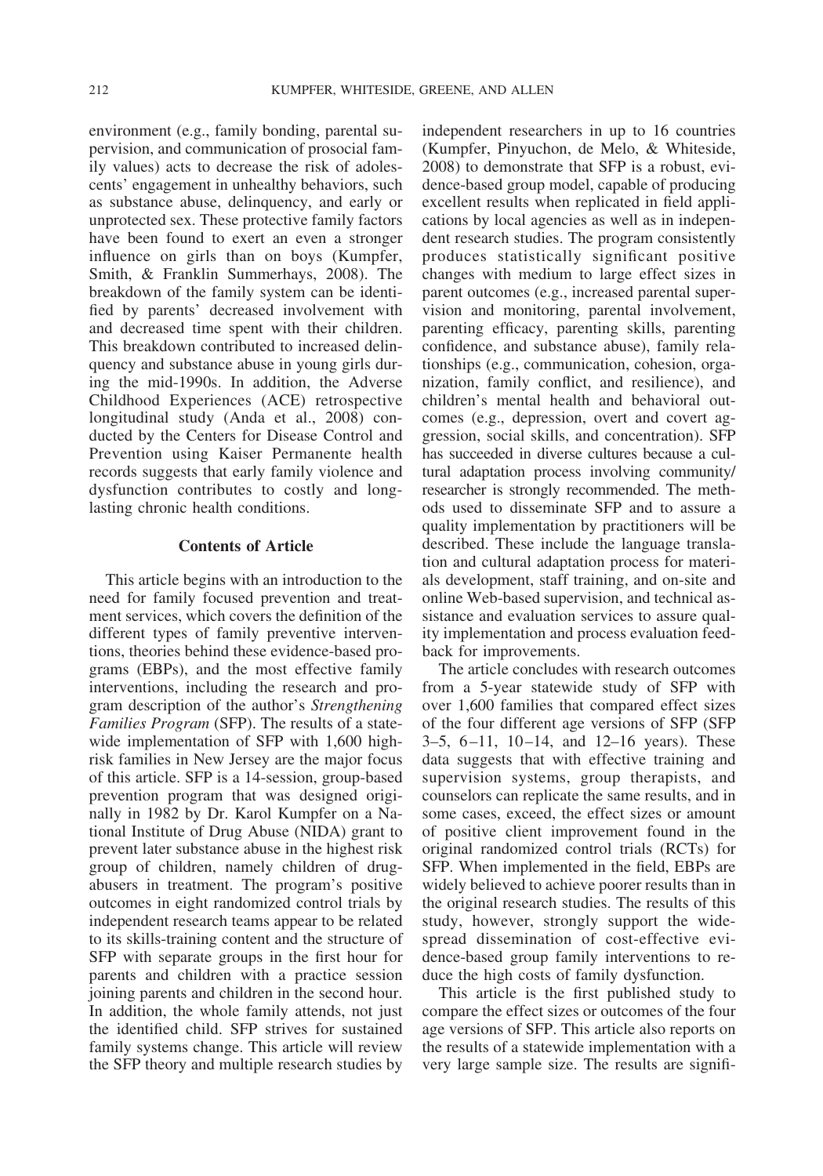environment (e.g., family bonding, parental supervision, and communication of prosocial family values) acts to decrease the risk of adolescents' engagement in unhealthy behaviors, such as substance abuse, delinquency, and early or unprotected sex. These protective family factors have been found to exert an even a stronger influence on girls than on boys (Kumpfer, Smith, & Franklin Summerhays, 2008). The breakdown of the family system can be identified by parents' decreased involvement with and decreased time spent with their children. This breakdown contributed to increased delinquency and substance abuse in young girls during the mid-1990s. In addition, the Adverse Childhood Experiences (ACE) retrospective longitudinal study (Anda et al., 2008) conducted by the Centers for Disease Control and Prevention using Kaiser Permanente health records suggests that early family violence and dysfunction contributes to costly and longlasting chronic health conditions.

#### **Contents of Article**

This article begins with an introduction to the need for family focused prevention and treatment services, which covers the definition of the different types of family preventive interventions, theories behind these evidence-based programs (EBPs), and the most effective family interventions, including the research and program description of the author's *Strengthening Families Program* (SFP). The results of a statewide implementation of SFP with 1,600 highrisk families in New Jersey are the major focus of this article. SFP is a 14-session, group-based prevention program that was designed originally in 1982 by Dr. Karol Kumpfer on a National Institute of Drug Abuse (NIDA) grant to prevent later substance abuse in the highest risk group of children, namely children of drugabusers in treatment. The program's positive outcomes in eight randomized control trials by independent research teams appear to be related to its skills-training content and the structure of SFP with separate groups in the first hour for parents and children with a practice session joining parents and children in the second hour. In addition, the whole family attends, not just the identified child. SFP strives for sustained family systems change. This article will review the SFP theory and multiple research studies by

independent researchers in up to 16 countries (Kumpfer, Pinyuchon, de Melo, & Whiteside, 2008) to demonstrate that SFP is a robust, evidence-based group model, capable of producing excellent results when replicated in field applications by local agencies as well as in independent research studies. The program consistently produces statistically significant positive changes with medium to large effect sizes in parent outcomes (e.g., increased parental supervision and monitoring, parental involvement, parenting efficacy, parenting skills, parenting confidence, and substance abuse), family relationships (e.g., communication, cohesion, organization, family conflict, and resilience), and children's mental health and behavioral outcomes (e.g., depression, overt and covert aggression, social skills, and concentration). SFP has succeeded in diverse cultures because a cultural adaptation process involving community/ researcher is strongly recommended. The methods used to disseminate SFP and to assure a quality implementation by practitioners will be described. These include the language translation and cultural adaptation process for materials development, staff training, and on-site and online Web-based supervision, and technical assistance and evaluation services to assure quality implementation and process evaluation feedback for improvements.

The article concludes with research outcomes from a 5-year statewide study of SFP with over 1,600 families that compared effect sizes of the four different age versions of SFP (SFP 3–5, 6–11, 10–14, and 12–16 years). These data suggests that with effective training and supervision systems, group therapists, and counselors can replicate the same results, and in some cases, exceed, the effect sizes or amount of positive client improvement found in the original randomized control trials (RCTs) for SFP. When implemented in the field, EBPs are widely believed to achieve poorer results than in the original research studies. The results of this study, however, strongly support the widespread dissemination of cost-effective evidence-based group family interventions to reduce the high costs of family dysfunction.

This article is the first published study to compare the effect sizes or outcomes of the four age versions of SFP. This article also reports on the results of a statewide implementation with a very large sample size. The results are signifi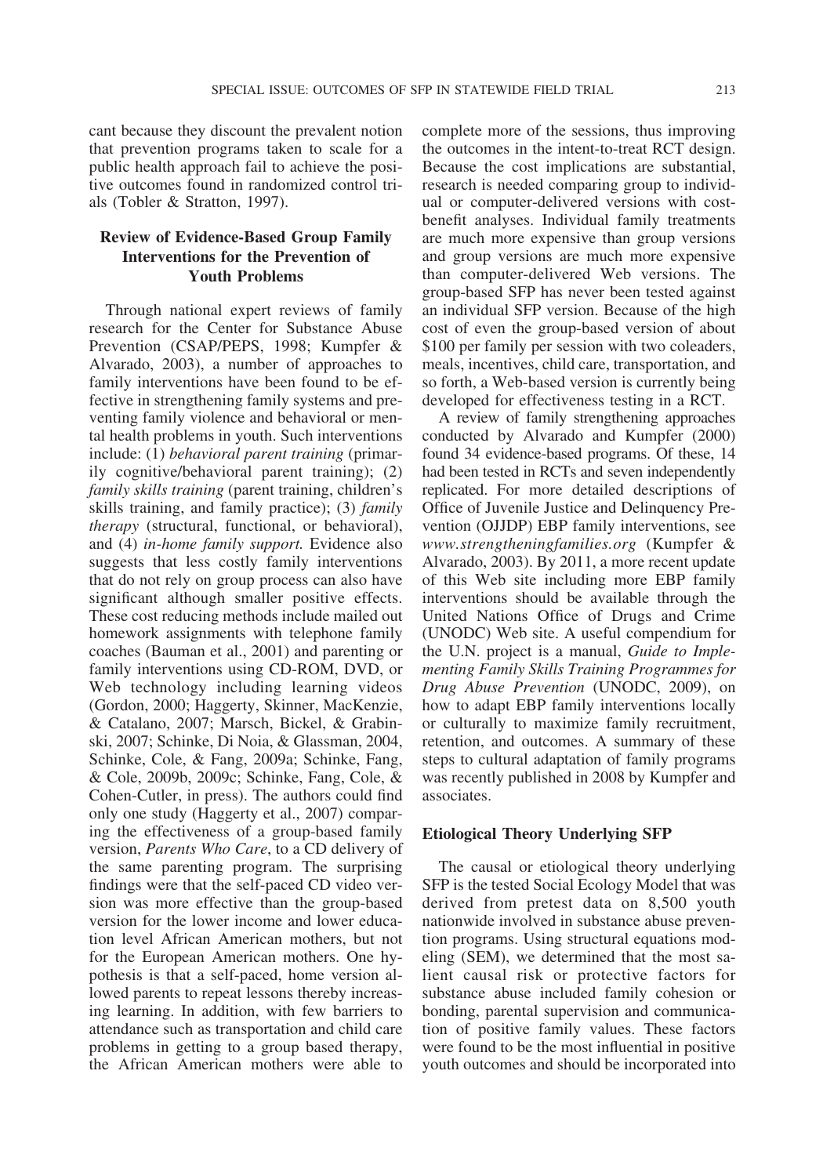cant because they discount the prevalent notion that prevention programs taken to scale for a public health approach fail to achieve the positive outcomes found in randomized control trials (Tobler & Stratton, 1997).

# **Review of Evidence-Based Group Family Interventions for the Prevention of Youth Problems**

Through national expert reviews of family research for the Center for Substance Abuse Prevention (CSAP/PEPS, 1998; Kumpfer & Alvarado, 2003), a number of approaches to family interventions have been found to be effective in strengthening family systems and preventing family violence and behavioral or mental health problems in youth. Such interventions include: (1) *behavioral parent training* (primarily cognitive/behavioral parent training); (2) *family skills training* (parent training, children's skills training, and family practice); (3) *family therapy* (structural, functional, or behavioral), and (4) *in-home family support.* Evidence also suggests that less costly family interventions that do not rely on group process can also have significant although smaller positive effects. These cost reducing methods include mailed out homework assignments with telephone family coaches (Bauman et al., 2001) and parenting or family interventions using CD-ROM, DVD, or Web technology including learning videos (Gordon, 2000; Haggerty, Skinner, MacKenzie, & Catalano, 2007; Marsch, Bickel, & Grabinski, 2007; Schinke, Di Noia, & Glassman, 2004, Schinke, Cole, & Fang, 2009a; Schinke, Fang, & Cole, 2009b, 2009c; Schinke, Fang, Cole, & Cohen-Cutler, in press). The authors could find only one study (Haggerty et al., 2007) comparing the effectiveness of a group-based family version, *Parents Who Care*, to a CD delivery of the same parenting program. The surprising findings were that the self-paced CD video version was more effective than the group-based version for the lower income and lower education level African American mothers, but not for the European American mothers. One hypothesis is that a self-paced, home version allowed parents to repeat lessons thereby increasing learning. In addition, with few barriers to attendance such as transportation and child care problems in getting to a group based therapy, the African American mothers were able to

complete more of the sessions, thus improving the outcomes in the intent-to-treat RCT design. Because the cost implications are substantial, research is needed comparing group to individual or computer-delivered versions with costbenefit analyses. Individual family treatments are much more expensive than group versions and group versions are much more expensive than computer-delivered Web versions. The group-based SFP has never been tested against an individual SFP version. Because of the high cost of even the group-based version of about \$100 per family per session with two coleaders, meals, incentives, child care, transportation, and so forth, a Web-based version is currently being developed for effectiveness testing in a RCT.

A review of family strengthening approaches conducted by Alvarado and Kumpfer (2000) found 34 evidence-based programs. Of these, 14 had been tested in RCTs and seven independently replicated. For more detailed descriptions of Office of Juvenile Justice and Delinquency Prevention (OJJDP) EBP family interventions, see *www.strengtheningfamilies.org* (Kumpfer & Alvarado, 2003). By 2011, a more recent update of this Web site including more EBP family interventions should be available through the United Nations Office of Drugs and Crime (UNODC) Web site. A useful compendium for the U.N. project is a manual, *Guide to Implementing Family Skills Training Programmes for Drug Abuse Prevention* (UNODC, 2009), on how to adapt EBP family interventions locally or culturally to maximize family recruitment, retention, and outcomes. A summary of these steps to cultural adaptation of family programs was recently published in 2008 by Kumpfer and associates.

#### **Etiological Theory Underlying SFP**

The causal or etiological theory underlying SFP is the tested Social Ecology Model that was derived from pretest data on 8,500 youth nationwide involved in substance abuse prevention programs. Using structural equations modeling (SEM), we determined that the most salient causal risk or protective factors for substance abuse included family cohesion or bonding, parental supervision and communication of positive family values. These factors were found to be the most influential in positive youth outcomes and should be incorporated into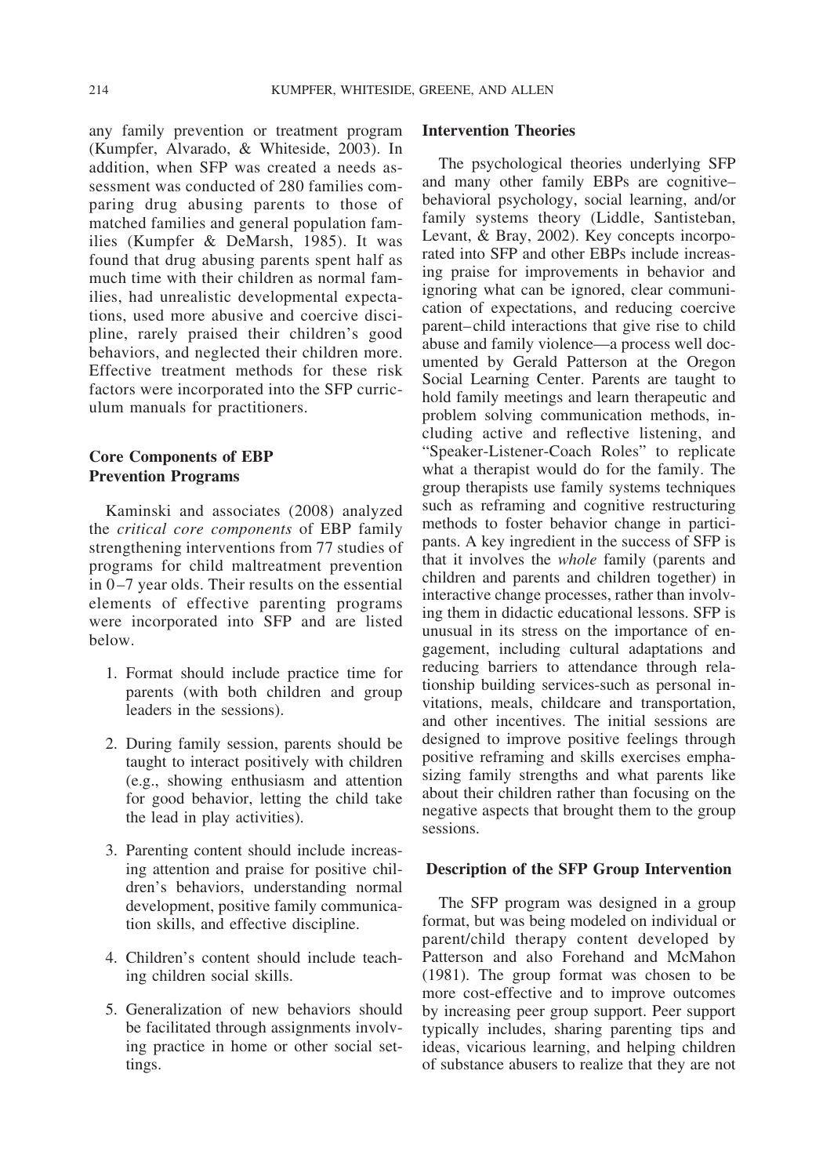any family prevention or treatment program (Kumpfer, Alvarado, & Whiteside, 2003). In addition, when SFP was created a needs assessment was conducted of 280 families comparing drug abusing parents to those of matched families and general population families (Kumpfer & DeMarsh, 1985). It was found that drug abusing parents spent half as much time with their children as normal families, had unrealistic developmental expectations, used more abusive and coercive discipline, rarely praised their children's good behaviors, and neglected their children more. Effective treatment methods for these risk factors were incorporated into the SFP curriculum manuals for practitioners.

# **Core Components of EBP Prevention Programs**

Kaminski and associates (2008) analyzed the *critical core components* of EBP family strengthening interventions from 77 studies of programs for child maltreatment prevention in 0–7 year olds. Their results on the essential elements of effective parenting programs were incorporated into SFP and are listed below.

- 1. Format should include practice time for parents (with both children and group leaders in the sessions).
- 2. During family session, parents should be taught to interact positively with children (e.g., showing enthusiasm and attention for good behavior, letting the child take the lead in play activities).
- 3. Parenting content should include increasing attention and praise for positive children's behaviors, understanding normal development, positive family communication skills, and effective discipline.
- 4. Children's content should include teaching children social skills.
- 5. Generalization of new behaviors should be facilitated through assignments involving practice in home or other social settings.

### **Intervention Theories**

The psychological theories underlying SFP and many other family EBPs are cognitive– behavioral psychology, social learning, and/or family systems theory (Liddle, Santisteban, Levant, & Bray, 2002). Key concepts incorporated into SFP and other EBPs include increasing praise for improvements in behavior and ignoring what can be ignored, clear communication of expectations, and reducing coercive parent–child interactions that give rise to child abuse and family violence—a process well documented by Gerald Patterson at the Oregon Social Learning Center. Parents are taught to hold family meetings and learn therapeutic and problem solving communication methods, including active and reflective listening, and "Speaker-Listener-Coach Roles" to replicate what a therapist would do for the family. The group therapists use family systems techniques such as reframing and cognitive restructuring methods to foster behavior change in participants. A key ingredient in the success of SFP is that it involves the *whole* family (parents and children and parents and children together) in interactive change processes, rather than involving them in didactic educational lessons. SFP is unusual in its stress on the importance of engagement, including cultural adaptations and reducing barriers to attendance through relationship building services-such as personal invitations, meals, childcare and transportation, and other incentives. The initial sessions are designed to improve positive feelings through positive reframing and skills exercises emphasizing family strengths and what parents like about their children rather than focusing on the negative aspects that brought them to the group sessions.

#### **Description of the SFP Group Intervention**

The SFP program was designed in a group format, but was being modeled on individual or parent/child therapy content developed by Patterson and also Forehand and McMahon (1981). The group format was chosen to be more cost-effective and to improve outcomes by increasing peer group support. Peer support typically includes, sharing parenting tips and ideas, vicarious learning, and helping children of substance abusers to realize that they are not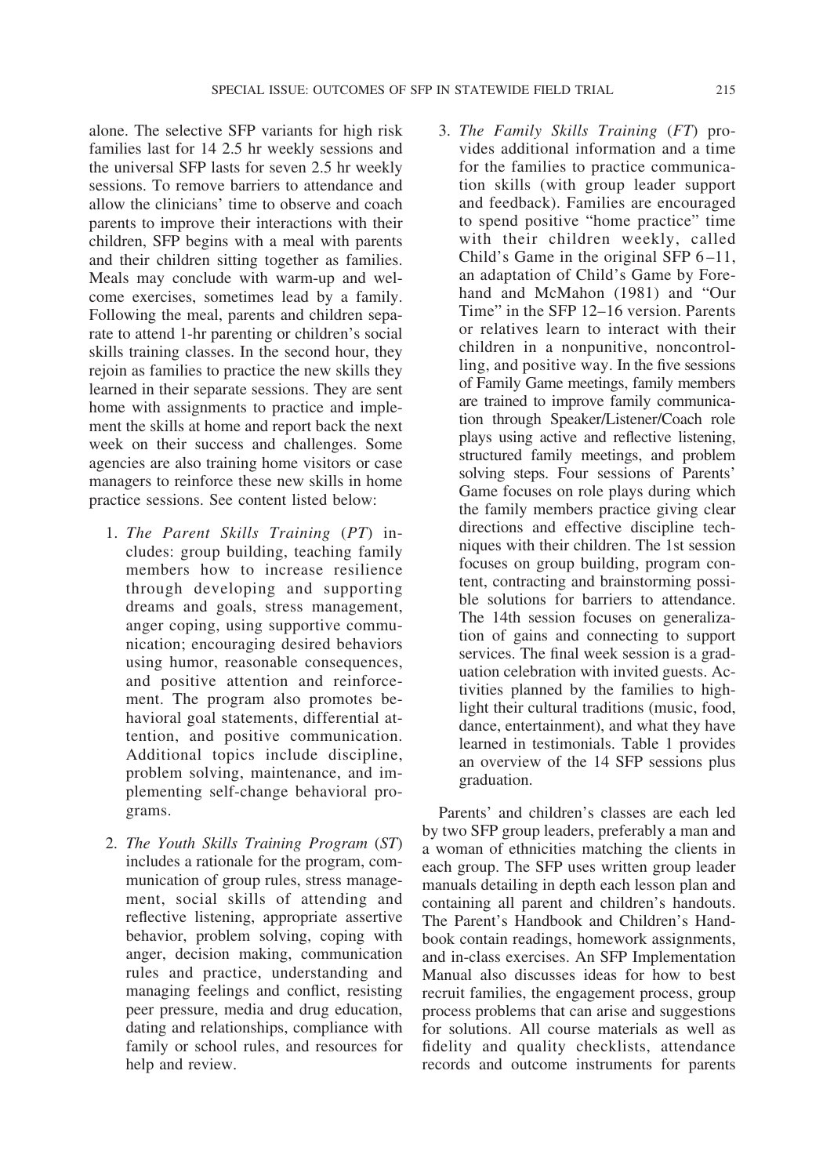alone. The selective SFP variants for high risk families last for 14 2.5 hr weekly sessions and the universal SFP lasts for seven 2.5 hr weekly sessions. To remove barriers to attendance and allow the clinicians' time to observe and coach parents to improve their interactions with their children, SFP begins with a meal with parents and their children sitting together as families. Meals may conclude with warm-up and welcome exercises, sometimes lead by a family. Following the meal, parents and children separate to attend 1-hr parenting or children's social skills training classes. In the second hour, they rejoin as families to practice the new skills they learned in their separate sessions. They are sent home with assignments to practice and implement the skills at home and report back the next week on their success and challenges. Some agencies are also training home visitors or case managers to reinforce these new skills in home practice sessions. See content listed below:

- 1. *The Parent Skills Training* (*PT*) includes: group building, teaching family members how to increase resilience through developing and supporting dreams and goals, stress management, anger coping, using supportive communication; encouraging desired behaviors using humor, reasonable consequences, and positive attention and reinforcement. The program also promotes behavioral goal statements, differential attention, and positive communication. Additional topics include discipline, problem solving, maintenance, and implementing self-change behavioral programs.
- 2. *The Youth Skills Training Program* (*ST*) includes a rationale for the program, communication of group rules, stress management, social skills of attending and reflective listening, appropriate assertive behavior, problem solving, coping with anger, decision making, communication rules and practice, understanding and managing feelings and conflict, resisting peer pressure, media and drug education, dating and relationships, compliance with family or school rules, and resources for help and review.
- 3. *The Family Skills Training* (*FT*) provides additional information and a time for the families to practice communication skills (with group leader support and feedback). Families are encouraged to spend positive "home practice" time with their children weekly, called Child's Game in the original SFP 6–11, an adaptation of Child's Game by Forehand and McMahon (1981) and "Our Time" in the SFP 12–16 version. Parents or relatives learn to interact with their children in a nonpunitive, noncontrolling, and positive way. In the five sessions of Family Game meetings, family members are trained to improve family communication through Speaker/Listener/Coach role plays using active and reflective listening, structured family meetings, and problem solving steps. Four sessions of Parents' Game focuses on role plays during which the family members practice giving clear directions and effective discipline techniques with their children. The 1st session focuses on group building, program content, contracting and brainstorming possible solutions for barriers to attendance. The 14th session focuses on generalization of gains and connecting to support services. The final week session is a graduation celebration with invited guests. Activities planned by the families to highlight their cultural traditions (music, food, dance, entertainment), and what they have learned in testimonials. Table 1 provides an overview of the 14 SFP sessions plus graduation.

Parents' and children's classes are each led by two SFP group leaders, preferably a man and a woman of ethnicities matching the clients in each group. The SFP uses written group leader manuals detailing in depth each lesson plan and containing all parent and children's handouts. The Parent's Handbook and Children's Handbook contain readings, homework assignments, and in-class exercises. An SFP Implementation Manual also discusses ideas for how to best recruit families, the engagement process, group process problems that can arise and suggestions for solutions. All course materials as well as fidelity and quality checklists, attendance records and outcome instruments for parents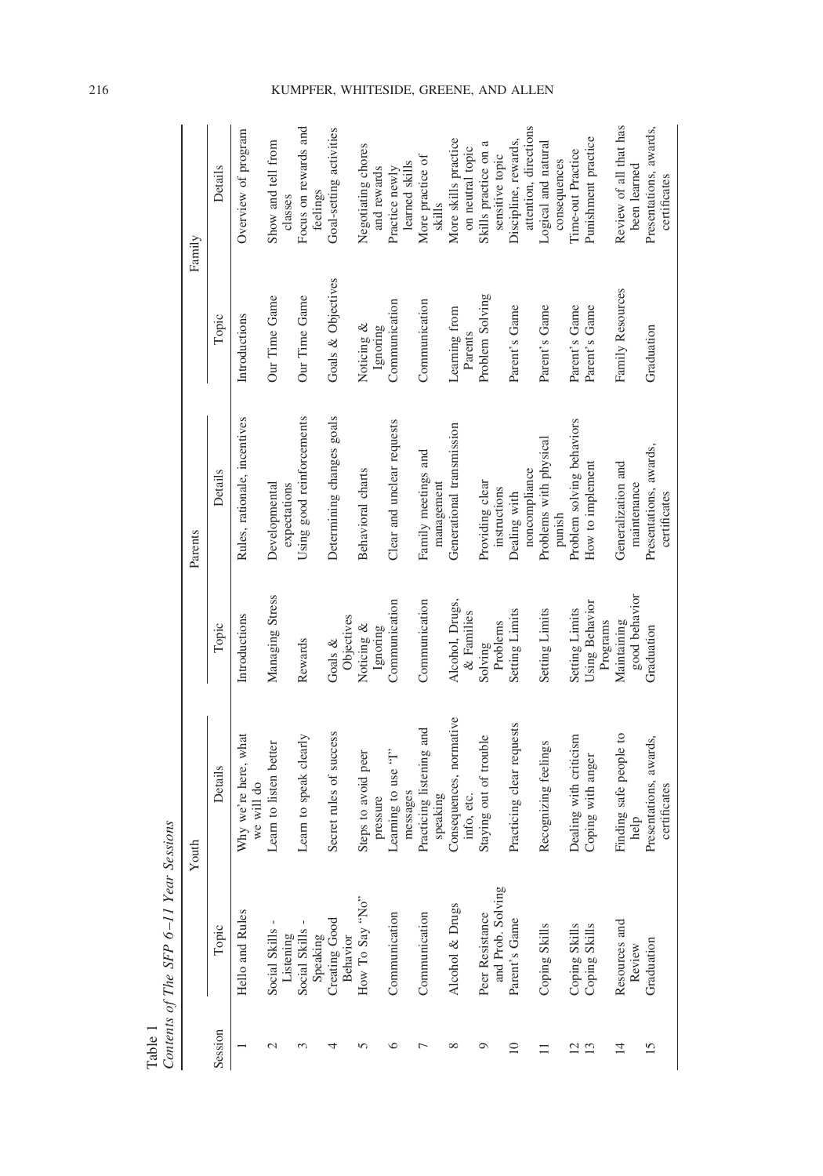|                      | Contents of The SFP 6-11 Year Sessions |                                             |                                                     |                                               |                                |                                               |
|----------------------|----------------------------------------|---------------------------------------------|-----------------------------------------------------|-----------------------------------------------|--------------------------------|-----------------------------------------------|
|                      |                                        | Youth                                       |                                                     | Parents                                       |                                | Family                                        |
| Session              | Topic                                  | Details                                     | Topic                                               | Details                                       | Topic                          | Details                                       |
|                      | Hello and Rules                        | Why we're here, what<br>we will do          | Introductions                                       | Rules, rationale, incentives                  | Introductions                  | Overview of program                           |
| $\mathcal{L}$        | Social Skills -<br>Listening           | Learn to listen better                      | Managing Stress                                     | Developmental<br>expectations                 | Our Time Game                  | Show and tell from<br>classes                 |
|                      | Social Skills<br>Speaking              | Learn to speak clearly                      | Rewards                                             | Using good reinforcements                     | Our Time Game                  | Focus on rewards and<br>feelings              |
|                      | Creating Good<br>Behavior              | Secret rules of success                     | Objectives<br>Goals &                               | Determining changes goals                     | Goals & Objectives             | Goal-setting activities                       |
| 5                    | "No" yaS oT woH                        | Steps to avoid peer<br>pressure             | Noticing &<br>Ignoring                              | Behavioral charts                             | Noticing &<br>Ignoring         | Negotiating chores<br>and rewards             |
| ∘                    | Communication                          | Learning to use "I"<br>messages             | Communication                                       | Clear and unclear requests                    | Communication                  | learned skills<br>Practice newly              |
|                      | Communication                          | Practicing listening and<br>speaking        | Communication                                       | Family meetings and<br>management             | Communication                  | More practice of<br>skills                    |
| ∞                    | Alcohol & Drugs                        | Consequences, normative<br>info, etc.       | Alcohol, Drugs,<br>& Families                       | Generational transmission                     | Learning from<br>Parents       | More skills practice<br>on neutral topic      |
| 0                    | and Prob. Solving<br>Peer Resistance   | Staying out of trouble                      | Problems<br>Solving                                 | Providing clear<br>instructions               | Problem Solving                | Skills practice on a<br>sensitive topic       |
| $\equiv$             | Parent's Game                          | Practicing clear requests                   | Setting Limits                                      | noncompliance<br>Dealing with                 | Parent's Game                  | attention, directions<br>Discipline, rewards, |
|                      | Coping Skills                          | Recognizing feelings                        | Setting Limits                                      | Problems with physical<br>pumsh               | Parent's Game                  | Logical and natural<br>consequences           |
| $\overline{c}$<br>13 | Coping Skills<br>Coping Skills         | Dealing with criticism<br>Coping with anger | Using Behavior<br><b>Setting Limits</b><br>Programs | Problem solving behaviors<br>How to implement | Parent's Game<br>Parent's Game | Punishment practice<br>Time-out Practice      |
| $\overline{4}$       | Resources and<br>Review                | Finding safe people to<br>help              | good behavior<br>Maintaining                        | Generalization and<br>maintenance             | Family Resources               | Review of all that has<br>been learned        |
| 15                   | Graduation                             | Presentations, awards,<br>certificates      | Graduation                                          | Presentations, awards,<br>certificates        | Graduation                     | Presentations, awards,<br>certificates        |

|       | <i>session</i><br>ζ   |
|-------|-----------------------|
|       | ear'                  |
|       | $\bar{C}$             |
|       |                       |
|       | $\cdot$ of The SFP 6  |
| Table | $\mathcal{L}$ ontents |

# 216 KUMPFER, WHITESIDE, GREENE, AND ALLEN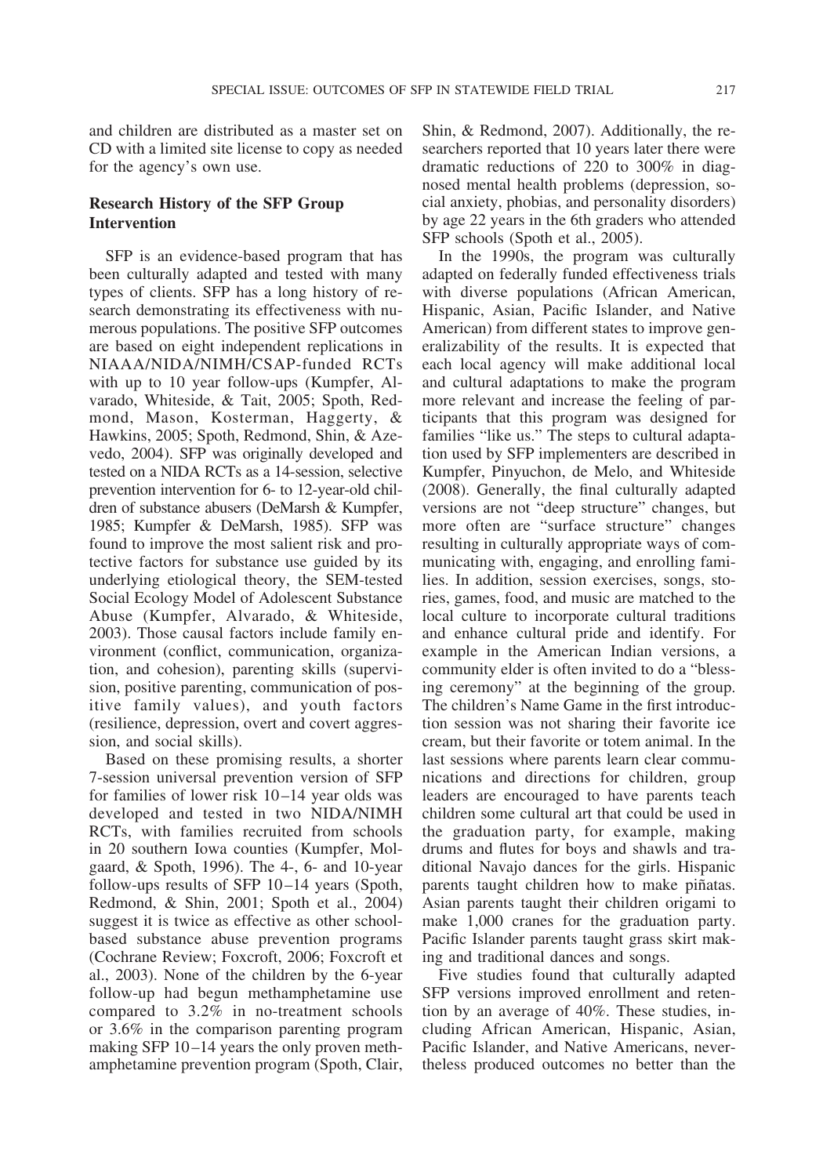and children are distributed as a master set on CD with a limited site license to copy as needed for the agency's own use.

# **Research History of the SFP Group Intervention**

SFP is an evidence-based program that has been culturally adapted and tested with many types of clients. SFP has a long history of research demonstrating its effectiveness with numerous populations. The positive SFP outcomes are based on eight independent replications in NIAAA/NIDA/NIMH/CSAP-funded RCTs with up to 10 year follow-ups (Kumpfer, Alvarado, Whiteside, & Tait, 2005; Spoth, Redmond, Mason, Kosterman, Haggerty, & Hawkins, 2005; Spoth, Redmond, Shin, & Azevedo, 2004). SFP was originally developed and tested on a NIDA RCTs as a 14-session, selective prevention intervention for 6- to 12-year-old children of substance abusers (DeMarsh & Kumpfer, 1985; Kumpfer & DeMarsh, 1985). SFP was found to improve the most salient risk and protective factors for substance use guided by its underlying etiological theory, the SEM-tested Social Ecology Model of Adolescent Substance Abuse (Kumpfer, Alvarado, & Whiteside, 2003). Those causal factors include family environment (conflict, communication, organization, and cohesion), parenting skills (supervision, positive parenting, communication of positive family values), and youth factors (resilience, depression, overt and covert aggression, and social skills).

Based on these promising results, a shorter 7-session universal prevention version of SFP for families of lower risk 10–14 year olds was developed and tested in two NIDA/NIMH RCTs, with families recruited from schools in 20 southern Iowa counties (Kumpfer, Molgaard, & Spoth, 1996). The 4-, 6- and 10-year follow-ups results of SFP 10–14 years (Spoth, Redmond, & Shin, 2001; Spoth et al., 2004) suggest it is twice as effective as other schoolbased substance abuse prevention programs (Cochrane Review; Foxcroft, 2006; Foxcroft et al., 2003). None of the children by the 6-year follow-up had begun methamphetamine use compared to 3.2% in no-treatment schools or 3.6% in the comparison parenting program making SFP 10–14 years the only proven methamphetamine prevention program (Spoth, Clair,

Shin, & Redmond, 2007). Additionally, the researchers reported that 10 years later there were dramatic reductions of 220 to 300% in diagnosed mental health problems (depression, social anxiety, phobias, and personality disorders) by age 22 years in the 6th graders who attended SFP schools (Spoth et al., 2005).

In the 1990s, the program was culturally adapted on federally funded effectiveness trials with diverse populations (African American, Hispanic, Asian, Pacific Islander, and Native American) from different states to improve generalizability of the results. It is expected that each local agency will make additional local and cultural adaptations to make the program more relevant and increase the feeling of participants that this program was designed for families "like us." The steps to cultural adaptation used by SFP implementers are described in Kumpfer, Pinyuchon, de Melo, and Whiteside (2008). Generally, the final culturally adapted versions are not "deep structure" changes, but more often are "surface structure" changes resulting in culturally appropriate ways of communicating with, engaging, and enrolling families. In addition, session exercises, songs, stories, games, food, and music are matched to the local culture to incorporate cultural traditions and enhance cultural pride and identify. For example in the American Indian versions, a community elder is often invited to do a "blessing ceremony" at the beginning of the group. The children's Name Game in the first introduction session was not sharing their favorite ice cream, but their favorite or totem animal. In the last sessions where parents learn clear communications and directions for children, group leaders are encouraged to have parents teach children some cultural art that could be used in the graduation party, for example, making drums and flutes for boys and shawls and traditional Navajo dances for the girls. Hispanic parents taught children how to make piñatas. Asian parents taught their children origami to make 1,000 cranes for the graduation party. Pacific Islander parents taught grass skirt making and traditional dances and songs.

Five studies found that culturally adapted SFP versions improved enrollment and retention by an average of 40%. These studies, including African American, Hispanic, Asian, Pacific Islander, and Native Americans, nevertheless produced outcomes no better than the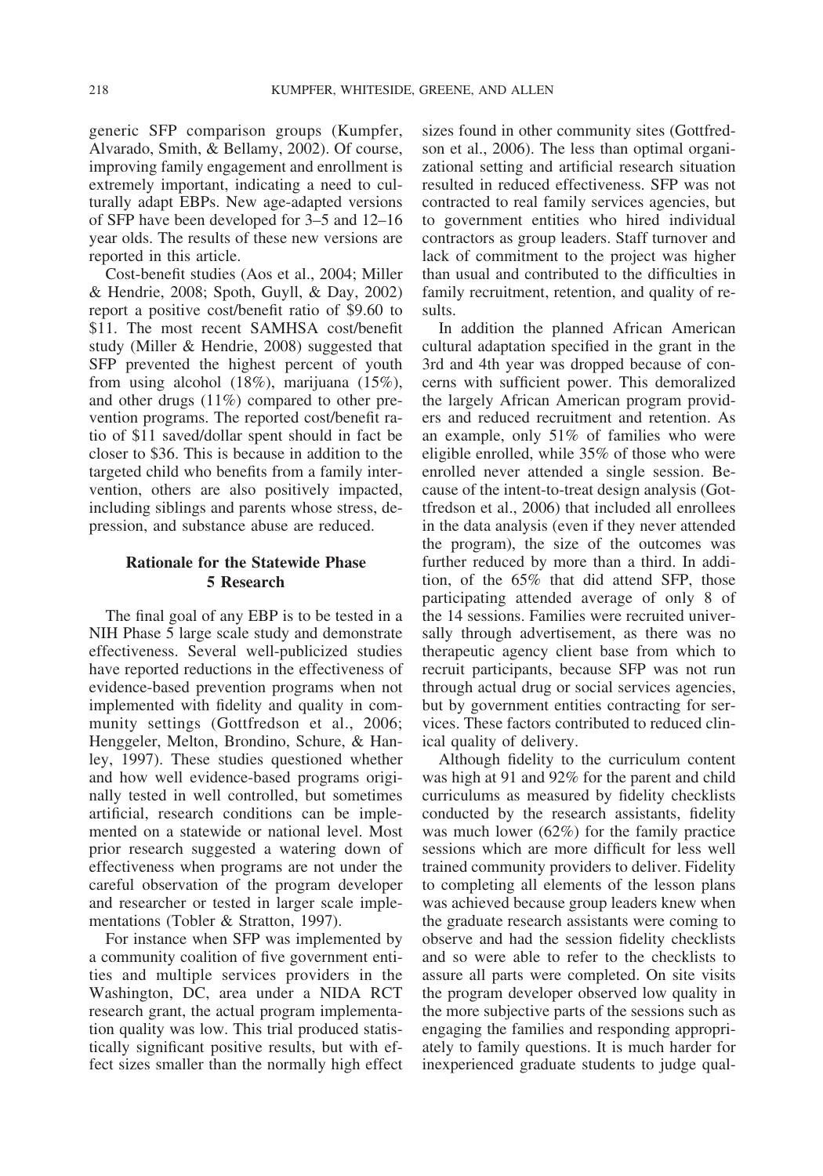generic SFP comparison groups (Kumpfer, Alvarado, Smith, & Bellamy, 2002). Of course, improving family engagement and enrollment is extremely important, indicating a need to culturally adapt EBPs. New age-adapted versions of SFP have been developed for 3–5 and 12–16 year olds. The results of these new versions are reported in this article.

Cost-benefit studies (Aos et al., 2004; Miller & Hendrie, 2008; Spoth, Guyll, & Day, 2002) report a positive cost/benefit ratio of \$9.60 to \$11. The most recent SAMHSA cost/benefit study (Miller & Hendrie, 2008) suggested that SFP prevented the highest percent of youth from using alcohol (18%), marijuana (15%), and other drugs (11%) compared to other prevention programs. The reported cost/benefit ratio of \$11 saved/dollar spent should in fact be closer to \$36. This is because in addition to the targeted child who benefits from a family intervention, others are also positively impacted, including siblings and parents whose stress, depression, and substance abuse are reduced.

# **Rationale for the Statewide Phase 5 Research**

The final goal of any EBP is to be tested in a NIH Phase 5 large scale study and demonstrate effectiveness. Several well-publicized studies have reported reductions in the effectiveness of evidence-based prevention programs when not implemented with fidelity and quality in community settings (Gottfredson et al., 2006; Henggeler, Melton, Brondino, Schure, & Hanley, 1997). These studies questioned whether and how well evidence-based programs originally tested in well controlled, but sometimes artificial, research conditions can be implemented on a statewide or national level. Most prior research suggested a watering down of effectiveness when programs are not under the careful observation of the program developer and researcher or tested in larger scale implementations (Tobler & Stratton, 1997).

For instance when SFP was implemented by a community coalition of five government entities and multiple services providers in the Washington, DC, area under a NIDA RCT research grant, the actual program implementation quality was low. This trial produced statistically significant positive results, but with effect sizes smaller than the normally high effect sizes found in other community sites (Gottfredson et al., 2006). The less than optimal organizational setting and artificial research situation resulted in reduced effectiveness. SFP was not contracted to real family services agencies, but to government entities who hired individual contractors as group leaders. Staff turnover and lack of commitment to the project was higher than usual and contributed to the difficulties in family recruitment, retention, and quality of results.

In addition the planned African American cultural adaptation specified in the grant in the 3rd and 4th year was dropped because of concerns with sufficient power. This demoralized the largely African American program providers and reduced recruitment and retention. As an example, only 51% of families who were eligible enrolled, while 35% of those who were enrolled never attended a single session. Because of the intent-to-treat design analysis (Gottfredson et al., 2006) that included all enrollees in the data analysis (even if they never attended the program), the size of the outcomes was further reduced by more than a third. In addition, of the 65% that did attend SFP, those participating attended average of only 8 of the 14 sessions. Families were recruited universally through advertisement, as there was no therapeutic agency client base from which to recruit participants, because SFP was not run through actual drug or social services agencies, but by government entities contracting for services. These factors contributed to reduced clinical quality of delivery.

Although fidelity to the curriculum content was high at 91 and 92% for the parent and child curriculums as measured by fidelity checklists conducted by the research assistants, fidelity was much lower (62%) for the family practice sessions which are more difficult for less well trained community providers to deliver. Fidelity to completing all elements of the lesson plans was achieved because group leaders knew when the graduate research assistants were coming to observe and had the session fidelity checklists and so were able to refer to the checklists to assure all parts were completed. On site visits the program developer observed low quality in the more subjective parts of the sessions such as engaging the families and responding appropriately to family questions. It is much harder for inexperienced graduate students to judge qual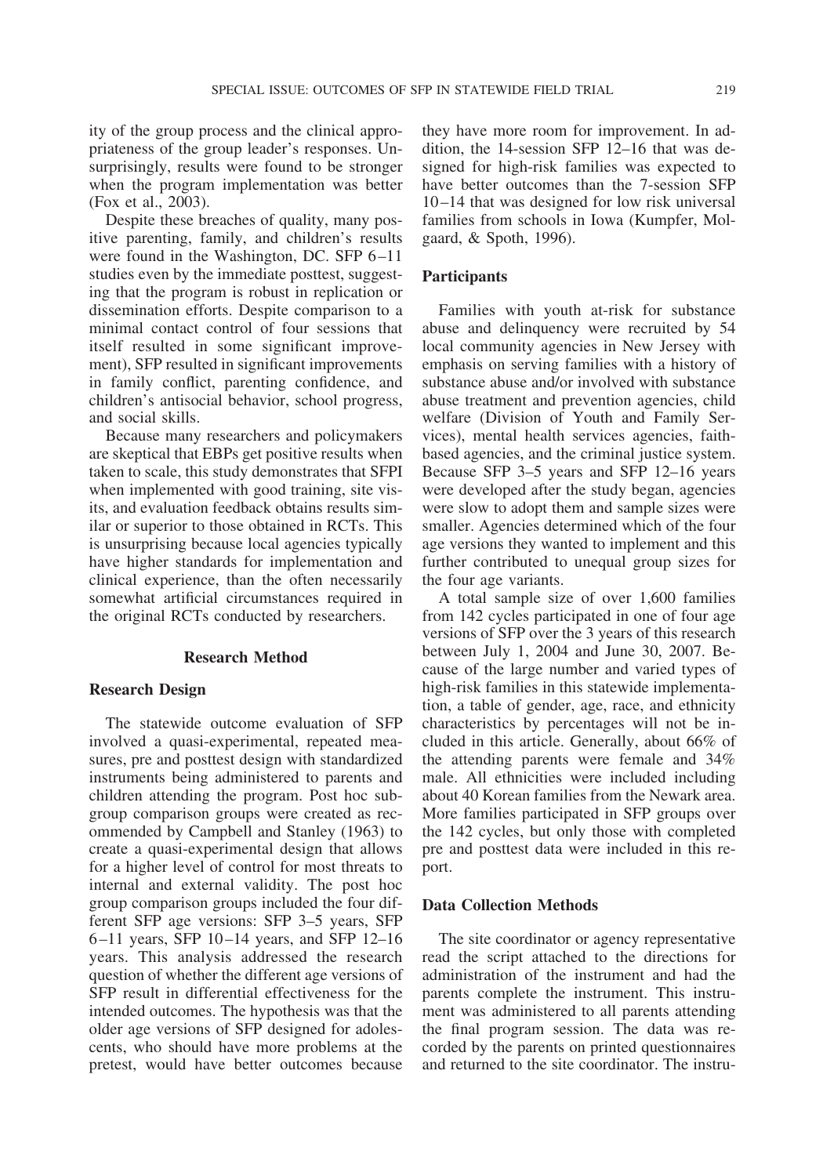ity of the group process and the clinical appropriateness of the group leader's responses. Unsurprisingly, results were found to be stronger when the program implementation was better (Fox et al., 2003).

Despite these breaches of quality, many positive parenting, family, and children's results were found in the Washington, DC. SFP 6–11 studies even by the immediate posttest, suggesting that the program is robust in replication or dissemination efforts. Despite comparison to a minimal contact control of four sessions that itself resulted in some significant improvement), SFP resulted in significant improvements in family conflict, parenting confidence, and children's antisocial behavior, school progress, and social skills.

Because many researchers and policymakers are skeptical that EBPs get positive results when taken to scale, this study demonstrates that SFPI when implemented with good training, site visits, and evaluation feedback obtains results similar or superior to those obtained in RCTs. This is unsurprising because local agencies typically have higher standards for implementation and clinical experience, than the often necessarily somewhat artificial circumstances required in the original RCTs conducted by researchers.

#### **Research Method**

#### **Research Design**

The statewide outcome evaluation of SFP involved a quasi-experimental, repeated measures, pre and posttest design with standardized instruments being administered to parents and children attending the program. Post hoc subgroup comparison groups were created as recommended by Campbell and Stanley (1963) to create a quasi-experimental design that allows for a higher level of control for most threats to internal and external validity. The post hoc group comparison groups included the four different SFP age versions: SFP 3–5 years, SFP 6–11 years, SFP 10–14 years, and SFP 12–16 years. This analysis addressed the research question of whether the different age versions of SFP result in differential effectiveness for the intended outcomes. The hypothesis was that the older age versions of SFP designed for adolescents, who should have more problems at the pretest, would have better outcomes because

they have more room for improvement. In addition, the 14-session SFP 12–16 that was designed for high-risk families was expected to have better outcomes than the 7-session SFP 10–14 that was designed for low risk universal families from schools in Iowa (Kumpfer, Molgaard, & Spoth, 1996).

#### **Participants**

Families with youth at-risk for substance abuse and delinquency were recruited by 54 local community agencies in New Jersey with emphasis on serving families with a history of substance abuse and/or involved with substance abuse treatment and prevention agencies, child welfare (Division of Youth and Family Services), mental health services agencies, faithbased agencies, and the criminal justice system. Because SFP 3–5 years and SFP 12–16 years were developed after the study began, agencies were slow to adopt them and sample sizes were smaller. Agencies determined which of the four age versions they wanted to implement and this further contributed to unequal group sizes for the four age variants.

A total sample size of over 1,600 families from 142 cycles participated in one of four age versions of SFP over the 3 years of this research between July 1, 2004 and June 30, 2007. Because of the large number and varied types of high-risk families in this statewide implementation, a table of gender, age, race, and ethnicity characteristics by percentages will not be included in this article. Generally, about 66% of the attending parents were female and 34% male. All ethnicities were included including about 40 Korean families from the Newark area. More families participated in SFP groups over the 142 cycles, but only those with completed pre and posttest data were included in this report.

#### **Data Collection Methods**

The site coordinator or agency representative read the script attached to the directions for administration of the instrument and had the parents complete the instrument. This instrument was administered to all parents attending the final program session. The data was recorded by the parents on printed questionnaires and returned to the site coordinator. The instru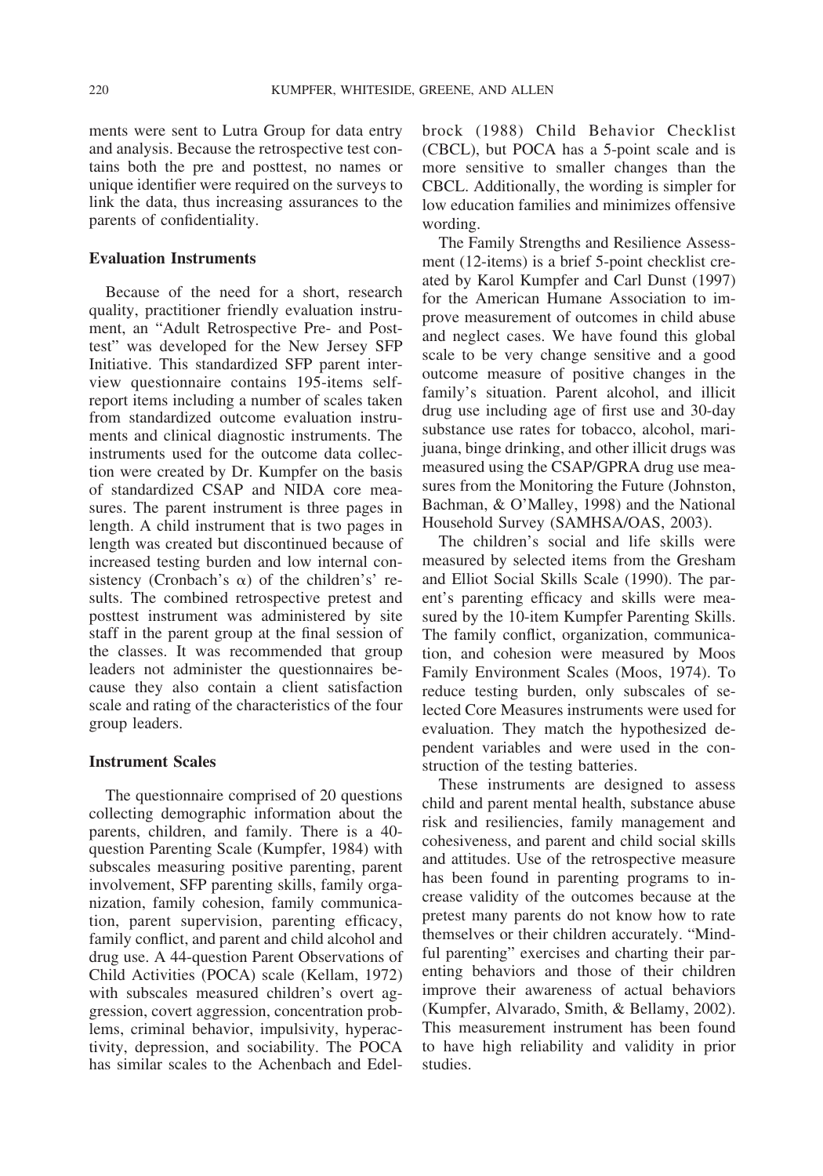ments were sent to Lutra Group for data entry and analysis. Because the retrospective test contains both the pre and posttest, no names or unique identifier were required on the surveys to link the data, thus increasing assurances to the parents of confidentiality.

#### **Evaluation Instruments**

Because of the need for a short, research quality, practitioner friendly evaluation instrument, an "Adult Retrospective Pre- and Posttest" was developed for the New Jersey SFP Initiative. This standardized SFP parent interview questionnaire contains 195-items selfreport items including a number of scales taken from standardized outcome evaluation instruments and clinical diagnostic instruments. The instruments used for the outcome data collection were created by Dr. Kumpfer on the basis of standardized CSAP and NIDA core measures. The parent instrument is three pages in length. A child instrument that is two pages in length was created but discontinued because of increased testing burden and low internal consistency (Cronbach's  $\alpha$ ) of the children's' results. The combined retrospective pretest and posttest instrument was administered by site staff in the parent group at the final session of the classes. It was recommended that group leaders not administer the questionnaires because they also contain a client satisfaction scale and rating of the characteristics of the four group leaders.

#### **Instrument Scales**

The questionnaire comprised of 20 questions collecting demographic information about the parents, children, and family. There is a 40 question Parenting Scale (Kumpfer, 1984) with subscales measuring positive parenting, parent involvement, SFP parenting skills, family organization, family cohesion, family communication, parent supervision, parenting efficacy, family conflict, and parent and child alcohol and drug use. A 44-question Parent Observations of Child Activities (POCA) scale (Kellam, 1972) with subscales measured children's overt aggression, covert aggression, concentration problems, criminal behavior, impulsivity, hyperactivity, depression, and sociability. The POCA has similar scales to the Achenbach and Edelbrock (1988) Child Behavior Checklist (CBCL), but POCA has a 5-point scale and is more sensitive to smaller changes than the CBCL. Additionally, the wording is simpler for low education families and minimizes offensive wording.

The Family Strengths and Resilience Assessment (12-items) is a brief 5-point checklist created by Karol Kumpfer and Carl Dunst (1997) for the American Humane Association to improve measurement of outcomes in child abuse and neglect cases. We have found this global scale to be very change sensitive and a good outcome measure of positive changes in the family's situation. Parent alcohol, and illicit drug use including age of first use and 30-day substance use rates for tobacco, alcohol, marijuana, binge drinking, and other illicit drugs was measured using the CSAP/GPRA drug use measures from the Monitoring the Future (Johnston, Bachman, & O'Malley, 1998) and the National Household Survey (SAMHSA/OAS, 2003).

The children's social and life skills were measured by selected items from the Gresham and Elliot Social Skills Scale (1990). The parent's parenting efficacy and skills were measured by the 10-item Kumpfer Parenting Skills. The family conflict, organization, communication, and cohesion were measured by Moos Family Environment Scales (Moos, 1974). To reduce testing burden, only subscales of selected Core Measures instruments were used for evaluation. They match the hypothesized dependent variables and were used in the construction of the testing batteries.

These instruments are designed to assess child and parent mental health, substance abuse risk and resiliencies, family management and cohesiveness, and parent and child social skills and attitudes. Use of the retrospective measure has been found in parenting programs to increase validity of the outcomes because at the pretest many parents do not know how to rate themselves or their children accurately. "Mindful parenting" exercises and charting their parenting behaviors and those of their children improve their awareness of actual behaviors (Kumpfer, Alvarado, Smith, & Bellamy, 2002). This measurement instrument has been found to have high reliability and validity in prior studies.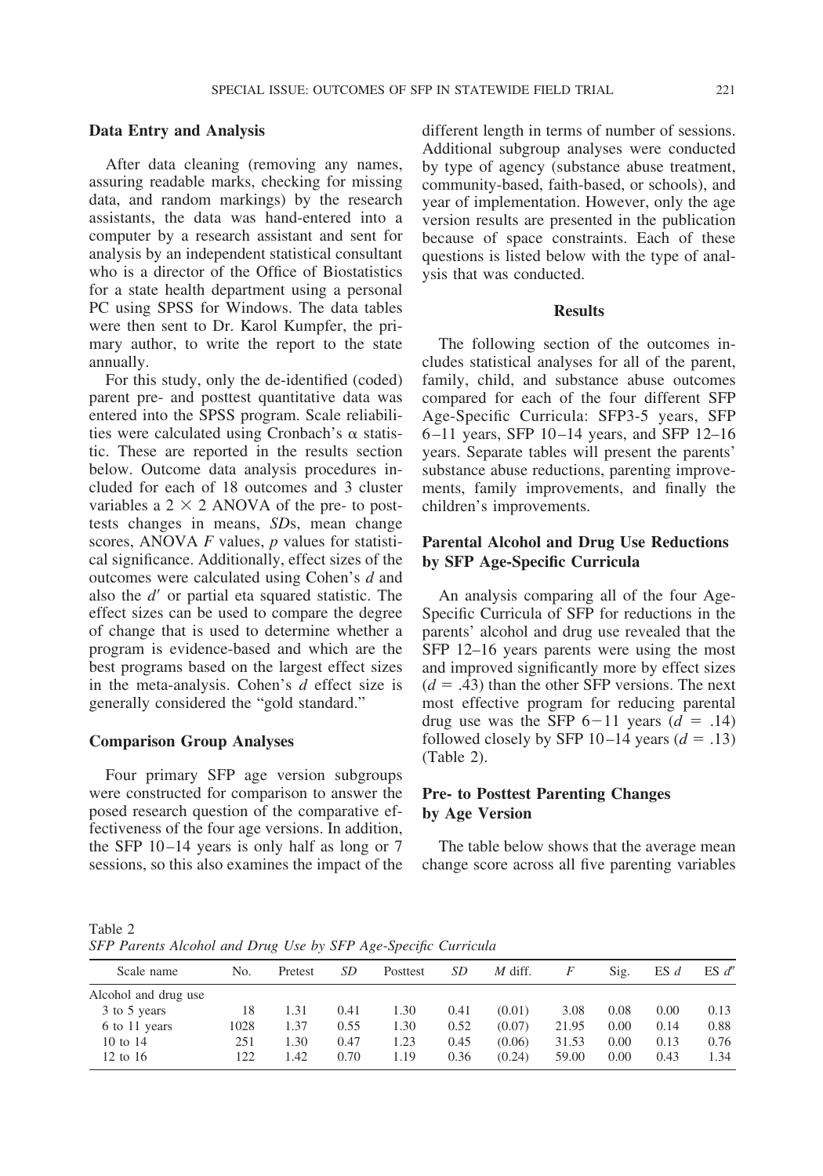### **Data Entry and Analysis**

After data cleaning (removing any names, assuring readable marks, checking for missing data, and random markings) by the research assistants, the data was hand-entered into a computer by a research assistant and sent for analysis by an independent statistical consultant who is a director of the Office of Biostatistics for a state health department using a personal PC using SPSS for Windows. The data tables were then sent to Dr. Karol Kumpfer, the primary author, to write the report to the state annually.

For this study, only the de-identified (coded) parent pre- and posttest quantitative data was entered into the SPSS program. Scale reliabilities were calculated using Cronbach's  $\alpha$  statistic. These are reported in the results section below. Outcome data analysis procedures included for each of 18 outcomes and 3 cluster variables a  $2 \times 2$  ANOVA of the pre- to posttests changes in means, *SD*s, mean change scores, ANOVA *F* values, *p* values for statistical significance. Additionally, effect sizes of the outcomes were calculated using Cohen's *d* and also the *d'* or partial eta squared statistic. The effect sizes can be used to compare the degree of change that is used to determine whether a program is evidence-based and which are the best programs based on the largest effect sizes in the meta-analysis. Cohen's *d* effect size is generally considered the "gold standard."

#### **Comparison Group Analyses**

Four primary SFP age version subgroups were constructed for comparison to answer the posed research question of the comparative effectiveness of the four age versions. In addition, the SFP 10–14 years is only half as long or 7 sessions, so this also examines the impact of the different length in terms of number of sessions. Additional subgroup analyses were conducted by type of agency (substance abuse treatment, community-based, faith-based, or schools), and year of implementation. However, only the age version results are presented in the publication because of space constraints. Each of these questions is listed below with the type of analysis that was conducted.

#### **Results**

The following section of the outcomes includes statistical analyses for all of the parent, family, child, and substance abuse outcomes compared for each of the four different SFP Age-Specific Curricula: SFP3-5 years, SFP 6–11 years, SFP 10–14 years, and SFP 12–16 years. Separate tables will present the parents' substance abuse reductions, parenting improvements, family improvements, and finally the children's improvements.

# **Parental Alcohol and Drug Use Reductions by SFP Age-Specific Curricula**

An analysis comparing all of the four Age-Specific Curricula of SFP for reductions in the parents' alcohol and drug use revealed that the SFP 12–16 years parents were using the most and improved significantly more by effect sizes  $(d = .43)$  than the other SFP versions. The next most effective program for reducing parental drug use was the SFP  $6-11$  years ( $d = .14$ ) followed closely by SFP  $10-14$  years ( $d = .13$ ) (Table 2).

# **Pre- to Posttest Parenting Changes by Age Version**

The table below shows that the average mean change score across all five parenting variables

Table 2 *SFP Parents Alcohol and Drug Use by SFP Age-Specific Curricula*

| No.  | Pretest | SD   | Posttest | SD   | $M$ diff. | F     | Sig. | ES d | ES d'' |
|------|---------|------|----------|------|-----------|-------|------|------|--------|
|      |         |      |          |      |           |       |      |      |        |
| 18   | 1.31    | 0.41 | 1.30     | 0.41 | (0.01)    | 3.08  | 0.08 | 0.00 | 0.13   |
| 1028 | 1.37    | 0.55 | 1.30     | 0.52 | (0.07)    | 21.95 | 0.00 | 0.14 | 0.88   |
| 251  | 1.30    | 0.47 | 1.23     | 0.45 | (0.06)    | 31.53 | 0.00 | 0.13 | 0.76   |
| 122  | 1.42    | 0.70 | 1.19     | 0.36 | (0.24)    | 59.00 | 0.00 | 0.43 | 1.34   |
|      |         |      |          |      |           |       |      |      |        |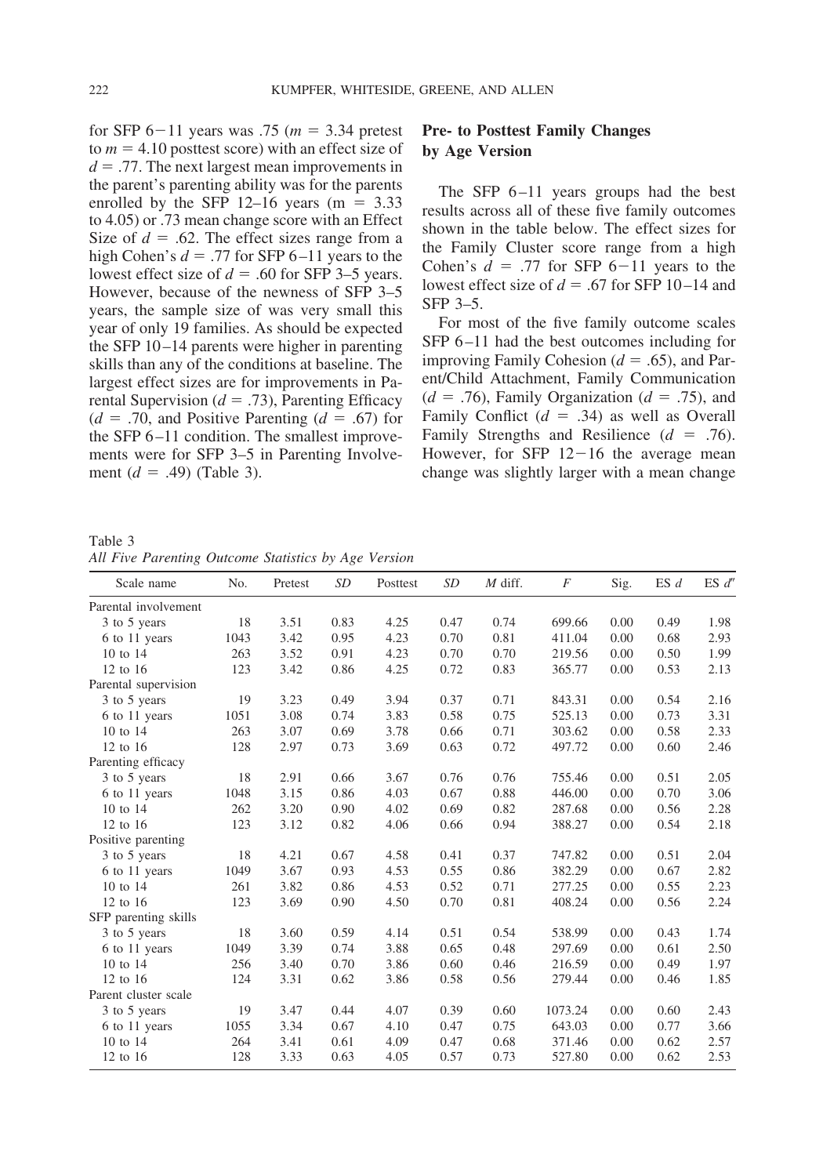for SFP  $6-11$  years was .75 ( $m = 3.34$  pretest to  $m = 4.10$  posttest score) with an effect size of  $d = 0.77$ . The next largest mean improvements in the parent's parenting ability was for the parents enrolled by the SFP 12-16 years  $(m = 3.33)$ to 4.05) or .73 mean change score with an Effect Size of  $d = 0.62$ . The effect sizes range from a high Cohen's  $d = .77$  for SFP 6–11 years to the lowest effect size of  $d = 0.60$  for SFP 3–5 years. However, because of the newness of SFP 3–5 years, the sample size of was very small this year of only 19 families. As should be expected the SFP 10–14 parents were higher in parenting skills than any of the conditions at baseline. The largest effect sizes are for improvements in Parental Supervision  $(d = .73)$ , Parenting Efficacy  $(d = .70, and Positive Paraming (d = .67)$  for the SFP 6–11 condition. The smallest improvements were for SFP 3–5 in Parenting Involvement  $(d = .49)$  (Table 3).

# **Pre- to Posttest Family Changes by Age Version**

The SFP 6–11 years groups had the best results across all of these five family outcomes shown in the table below. The effect sizes for the Family Cluster score range from a high Cohen's  $d = .77$  for SFP 6-11 years to the lowest effect size of  $d = 0.67$  for SFP 10–14 and SFP 3–5.

For most of the five family outcome scales SFP 6–11 had the best outcomes including for improving Family Cohesion  $(d = .65)$ , and Parent/Child Attachment, Family Communication  $(d = .76)$ , Family Organization  $(d = .75)$ , and Family Conflict  $(d = .34)$  as well as Overall Family Strengths and Resilience  $(d = .76)$ . However, for SFP  $12-16$  the average mean change was slightly larger with a mean change

Table 3 *All Five Parenting Outcome Statistics by Age Version*

| Scale name           | No.  | Pretest | SD   | Posttest | SD   | $M$ diff. | F       | Sig. | ES d | ES d'' |
|----------------------|------|---------|------|----------|------|-----------|---------|------|------|--------|
| Parental involvement |      |         |      |          |      |           |         |      |      |        |
| 3 to 5 years         | 18   | 3.51    | 0.83 | 4.25     | 0.47 | 0.74      | 699.66  | 0.00 | 0.49 | 1.98   |
| 6 to 11 years        | 1043 | 3.42    | 0.95 | 4.23     | 0.70 | 0.81      | 411.04  | 0.00 | 0.68 | 2.93   |
| 10 to 14             | 263  | 3.52    | 0.91 | 4.23     | 0.70 | 0.70      | 219.56  | 0.00 | 0.50 | 1.99   |
| 12 to 16             | 123  | 3.42    | 0.86 | 4.25     | 0.72 | 0.83      | 365.77  | 0.00 | 0.53 | 2.13   |
| Parental supervision |      |         |      |          |      |           |         |      |      |        |
| 3 to 5 years         | 19   | 3.23    | 0.49 | 3.94     | 0.37 | 0.71      | 843.31  | 0.00 | 0.54 | 2.16   |
| 6 to 11 years        | 1051 | 3.08    | 0.74 | 3.83     | 0.58 | 0.75      | 525.13  | 0.00 | 0.73 | 3.31   |
| 10 to 14             | 263  | 3.07    | 0.69 | 3.78     | 0.66 | 0.71      | 303.62  | 0.00 | 0.58 | 2.33   |
| 12 to 16             | 128  | 2.97    | 0.73 | 3.69     | 0.63 | 0.72      | 497.72  | 0.00 | 0.60 | 2.46   |
| Parenting efficacy   |      |         |      |          |      |           |         |      |      |        |
| 3 to 5 years         | 18   | 2.91    | 0.66 | 3.67     | 0.76 | 0.76      | 755.46  | 0.00 | 0.51 | 2.05   |
| 6 to 11 years        | 1048 | 3.15    | 0.86 | 4.03     | 0.67 | 0.88      | 446.00  | 0.00 | 0.70 | 3.06   |
| 10 to 14             | 262  | 3.20    | 0.90 | 4.02     | 0.69 | 0.82      | 287.68  | 0.00 | 0.56 | 2.28   |
| 12 to 16             | 123  | 3.12    | 0.82 | 4.06     | 0.66 | 0.94      | 388.27  | 0.00 | 0.54 | 2.18   |
| Positive parenting   |      |         |      |          |      |           |         |      |      |        |
| 3 to 5 years         | 18   | 4.21    | 0.67 | 4.58     | 0.41 | 0.37      | 747.82  | 0.00 | 0.51 | 2.04   |
| 6 to 11 years        | 1049 | 3.67    | 0.93 | 4.53     | 0.55 | 0.86      | 382.29  | 0.00 | 0.67 | 2.82   |
| 10 to 14             | 261  | 3.82    | 0.86 | 4.53     | 0.52 | 0.71      | 277.25  | 0.00 | 0.55 | 2.23   |
| 12 to 16             | 123  | 3.69    | 0.90 | 4.50     | 0.70 | 0.81      | 408.24  | 0.00 | 0.56 | 2.24   |
| SFP parenting skills |      |         |      |          |      |           |         |      |      |        |
| 3 to 5 years         | 18   | 3.60    | 0.59 | 4.14     | 0.51 | 0.54      | 538.99  | 0.00 | 0.43 | 1.74   |
| 6 to 11 years        | 1049 | 3.39    | 0.74 | 3.88     | 0.65 | 0.48      | 297.69  | 0.00 | 0.61 | 2.50   |
| 10 to 14             | 256  | 3.40    | 0.70 | 3.86     | 0.60 | 0.46      | 216.59  | 0.00 | 0.49 | 1.97   |
| 12 to 16             | 124  | 3.31    | 0.62 | 3.86     | 0.58 | 0.56      | 279.44  | 0.00 | 0.46 | 1.85   |
| Parent cluster scale |      |         |      |          |      |           |         |      |      |        |
| 3 to 5 years         | 19   | 3.47    | 0.44 | 4.07     | 0.39 | 0.60      | 1073.24 | 0.00 | 0.60 | 2.43   |
| 6 to 11 years        | 1055 | 3.34    | 0.67 | 4.10     | 0.47 | 0.75      | 643.03  | 0.00 | 0.77 | 3.66   |
| 10 to 14             | 264  | 3.41    | 0.61 | 4.09     | 0.47 | 0.68      | 371.46  | 0.00 | 0.62 | 2.57   |
| 12 to 16             | 128  | 3.33    | 0.63 | 4.05     | 0.57 | 0.73      | 527.80  | 0.00 | 0.62 | 2.53   |
|                      |      |         |      |          |      |           |         |      |      |        |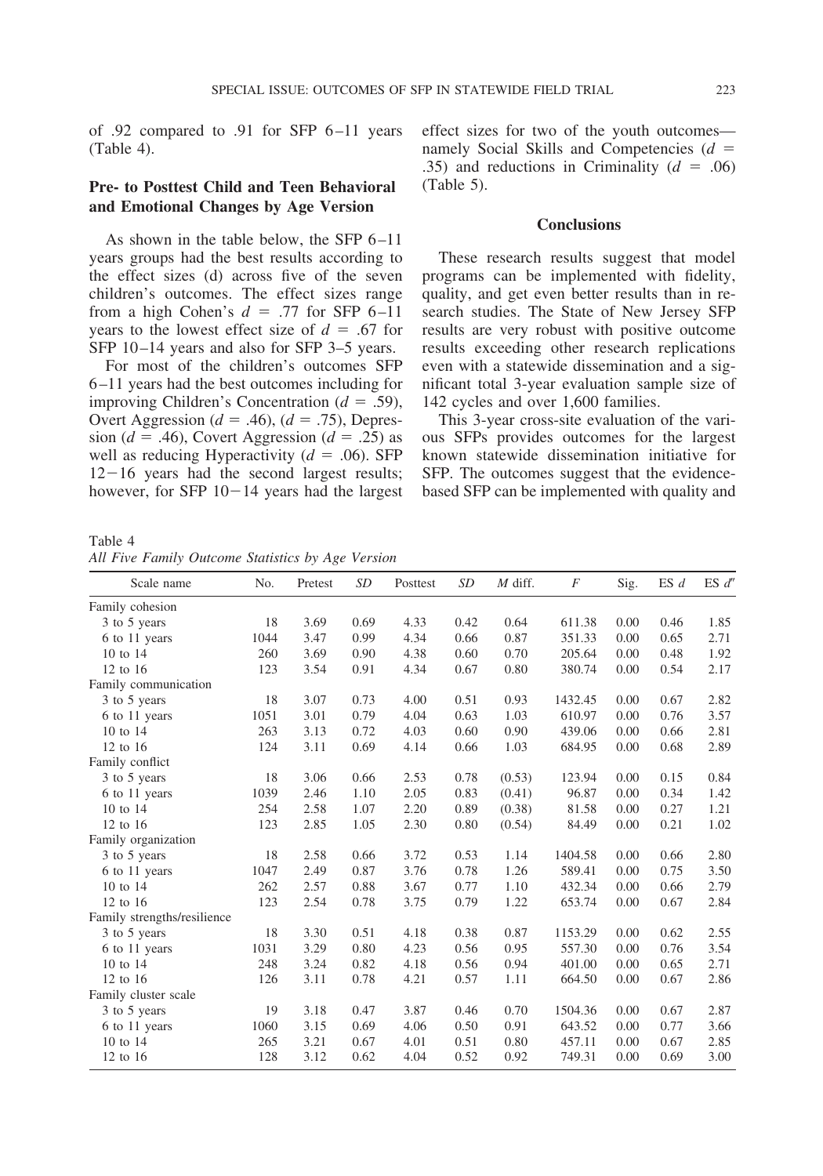of .92 compared to .91 for SFP 6–11 years (Table 4).

# **Pre- to Posttest Child and Teen Behavioral and Emotional Changes by Age Version**

As shown in the table below, the SFP 6–11 years groups had the best results according to the effect sizes (d) across five of the seven children's outcomes. The effect sizes range from a high Cohen's  $d = .77$  for SFP 6-11 years to the lowest effect size of  $d = .67$  for SFP 10–14 years and also for SFP 3–5 years.

For most of the children's outcomes SFP 6–11 years had the best outcomes including for improving Children's Concentration  $(d = .59)$ , Overt Aggression ( $d = .46$ ), ( $d = .75$ ), Depression ( $d = .46$ ), Covert Aggression ( $d = .25$ ) as well as reducing Hyperactivity  $(d = .06)$ . SFP  $12-16$  years had the second largest results; however, for SFP  $10-14$  years had the largest

Table 4 *All Five Family Outcome Statistics by Age Version*

effect sizes for two of the youth outcomes namely Social Skills and Competencies  $(d =$ .35) and reductions in Criminality  $(d = .06)$ (Table 5).

#### **Conclusions**

These research results suggest that model programs can be implemented with fidelity, quality, and get even better results than in research studies. The State of New Jersey SFP results are very robust with positive outcome results exceeding other research replications even with a statewide dissemination and a significant total 3-year evaluation sample size of 142 cycles and over 1,600 families.

This 3-year cross-site evaluation of the various SFPs provides outcomes for the largest known statewide dissemination initiative for SFP. The outcomes suggest that the evidencebased SFP can be implemented with quality and

| Scale name                  | No.  | Pretest | SD   | Posttest | SD <sub></sub> | $M$ diff. | $\overline{F}$ | Sig. | ES d | ES d'' |
|-----------------------------|------|---------|------|----------|----------------|-----------|----------------|------|------|--------|
| Family cohesion             |      |         |      |          |                |           |                |      |      |        |
| 3 to 5 years                | 18   | 3.69    | 0.69 | 4.33     | 0.42           | 0.64      | 611.38         | 0.00 | 0.46 | 1.85   |
| 6 to 11 years               | 1044 | 3.47    | 0.99 | 4.34     | 0.66           | 0.87      | 351.33         | 0.00 | 0.65 | 2.71   |
| 10 to 14                    | 260  | 3.69    | 0.90 | 4.38     | 0.60           | 0.70      | 205.64         | 0.00 | 0.48 | 1.92   |
| 12 to 16                    | 123  | 3.54    | 0.91 | 4.34     | 0.67           | 0.80      | 380.74         | 0.00 | 0.54 | 2.17   |
| Family communication        |      |         |      |          |                |           |                |      |      |        |
| 3 to 5 years                | 18   | 3.07    | 0.73 | 4.00     | 0.51           | 0.93      | 1432.45        | 0.00 | 0.67 | 2.82   |
| 6 to 11 years               | 1051 | 3.01    | 0.79 | 4.04     | 0.63           | 1.03      | 610.97         | 0.00 | 0.76 | 3.57   |
| 10 to 14                    | 263  | 3.13    | 0.72 | 4.03     | 0.60           | 0.90      | 439.06         | 0.00 | 0.66 | 2.81   |
| 12 to 16                    | 124  | 3.11    | 0.69 | 4.14     | 0.66           | 1.03      | 684.95         | 0.00 | 0.68 | 2.89   |
| Family conflict             |      |         |      |          |                |           |                |      |      |        |
| 3 to 5 years                | 18   | 3.06    | 0.66 | 2.53     | 0.78           | (0.53)    | 123.94         | 0.00 | 0.15 | 0.84   |
| 6 to 11 years               | 1039 | 2.46    | 1.10 | 2.05     | 0.83           | (0.41)    | 96.87          | 0.00 | 0.34 | 1.42   |
| 10 to 14                    | 254  | 2.58    | 1.07 | 2.20     | 0.89           | (0.38)    | 81.58          | 0.00 | 0.27 | 1.21   |
| 12 to 16                    | 123  | 2.85    | 1.05 | 2.30     | 0.80           | (0.54)    | 84.49          | 0.00 | 0.21 | 1.02   |
| Family organization         |      |         |      |          |                |           |                |      |      |        |
| 3 to 5 years                | 18   | 2.58    | 0.66 | 3.72     | 0.53           | 1.14      | 1404.58        | 0.00 | 0.66 | 2.80   |
| 6 to 11 years               | 1047 | 2.49    | 0.87 | 3.76     | 0.78           | 1.26      | 589.41         | 0.00 | 0.75 | 3.50   |
| 10 to 14                    | 262  | 2.57    | 0.88 | 3.67     | 0.77           | 1.10      | 432.34         | 0.00 | 0.66 | 2.79   |
| 12 to 16                    | 123  | 2.54    | 0.78 | 3.75     | 0.79           | 1.22      | 653.74         | 0.00 | 0.67 | 2.84   |
| Family strengths/resilience |      |         |      |          |                |           |                |      |      |        |
| 3 to 5 years                | 18   | 3.30    | 0.51 | 4.18     | 0.38           | 0.87      | 1153.29        | 0.00 | 0.62 | 2.55   |
| 6 to 11 years               | 1031 | 3.29    | 0.80 | 4.23     | 0.56           | 0.95      | 557.30         | 0.00 | 0.76 | 3.54   |
| 10 to 14                    | 248  | 3.24    | 0.82 | 4.18     | 0.56           | 0.94      | 401.00         | 0.00 | 0.65 | 2.71   |
| 12 to 16                    | 126  | 3.11    | 0.78 | 4.21     | 0.57           | 1.11      | 664.50         | 0.00 | 0.67 | 2.86   |
| Family cluster scale        |      |         |      |          |                |           |                |      |      |        |
| 3 to 5 years                | 19   | 3.18    | 0.47 | 3.87     | 0.46           | 0.70      | 1504.36        | 0.00 | 0.67 | 2.87   |
| 6 to 11 years               | 1060 | 3.15    | 0.69 | 4.06     | 0.50           | 0.91      | 643.52         | 0.00 | 0.77 | 3.66   |
| 10 to 14                    | 265  | 3.21    | 0.67 | 4.01     | 0.51           | 0.80      | 457.11         | 0.00 | 0.67 | 2.85   |
| 12 to 16                    | 128  | 3.12    | 0.62 | 4.04     | 0.52           | 0.92      | 749.31         | 0.00 | 0.69 | 3.00   |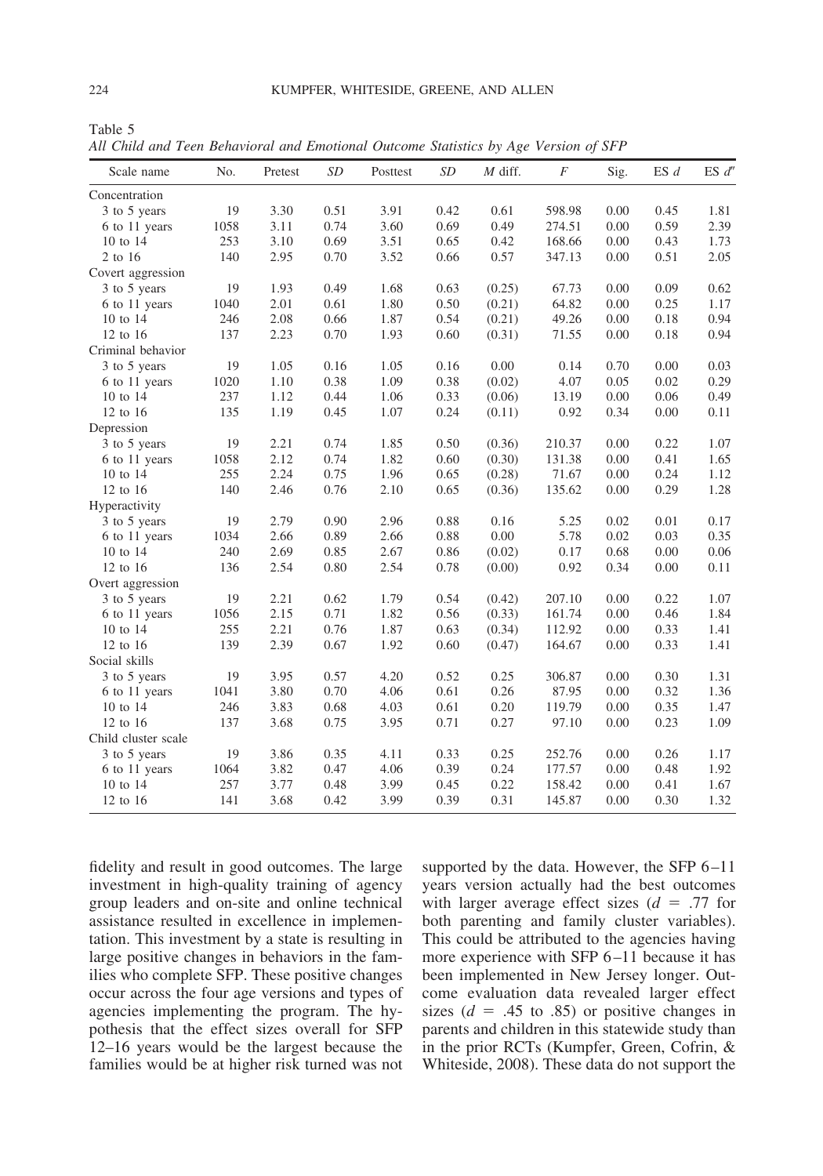| . .<br>٧<br>×<br>۹<br>× |  |
|-------------------------|--|
|-------------------------|--|

*All Child and Teen Behavioral and Emotional Outcome Statistics by Age Version of SFP*

| Scale name          | No.  | Pretest | SD   | Posttest | SD   | $M$ diff. | $\boldsymbol{F}$ | Sig. | ES d | ES $d''$ |
|---------------------|------|---------|------|----------|------|-----------|------------------|------|------|----------|
| Concentration       |      |         |      |          |      |           |                  |      |      |          |
| 3 to 5 years        | 19   | 3.30    | 0.51 | 3.91     | 0.42 | 0.61      | 598.98           | 0.00 | 0.45 | 1.81     |
| 6 to 11 years       | 1058 | 3.11    | 0.74 | 3.60     | 0.69 | 0.49      | 274.51           | 0.00 | 0.59 | 2.39     |
| 10 to 14            | 253  | 3.10    | 0.69 | 3.51     | 0.65 | 0.42      | 168.66           | 0.00 | 0.43 | 1.73     |
| 2 to 16             | 140  | 2.95    | 0.70 | 3.52     | 0.66 | 0.57      | 347.13           | 0.00 | 0.51 | 2.05     |
| Covert aggression   |      |         |      |          |      |           |                  |      |      |          |
| 3 to 5 years        | 19   | 1.93    | 0.49 | 1.68     | 0.63 | (0.25)    | 67.73            | 0.00 | 0.09 | 0.62     |
| 6 to 11 years       | 1040 | 2.01    | 0.61 | 1.80     | 0.50 | (0.21)    | 64.82            | 0.00 | 0.25 | 1.17     |
| 10 to 14            | 246  | 2.08    | 0.66 | 1.87     | 0.54 | (0.21)    | 49.26            | 0.00 | 0.18 | 0.94     |
| 12 to 16            | 137  | 2.23    | 0.70 | 1.93     | 0.60 | (0.31)    | 71.55            | 0.00 | 0.18 | 0.94     |
| Criminal behavior   |      |         |      |          |      |           |                  |      |      |          |
| 3 to 5 years        | 19   | 1.05    | 0.16 | 1.05     | 0.16 | 0.00      | 0.14             | 0.70 | 0.00 | 0.03     |
| 6 to 11 years       | 1020 | 1.10    | 0.38 | 1.09     | 0.38 | (0.02)    | 4.07             | 0.05 | 0.02 | 0.29     |
| 10 to 14            | 237  | 1.12    | 0.44 | 1.06     | 0.33 | (0.06)    | 13.19            | 0.00 | 0.06 | 0.49     |
| 12 to 16            | 135  | 1.19    | 0.45 | 1.07     | 0.24 | (0.11)    | 0.92             | 0.34 | 0.00 | 0.11     |
| Depression          |      |         |      |          |      |           |                  |      |      |          |
| 3 to 5 years        | 19   | 2.21    | 0.74 | 1.85     | 0.50 | (0.36)    | 210.37           | 0.00 | 0.22 | 1.07     |
| 6 to 11 years       | 1058 | 2.12    | 0.74 | 1.82     | 0.60 | (0.30)    | 131.38           | 0.00 | 0.41 | 1.65     |
| 10 to 14            | 255  | 2.24    | 0.75 | 1.96     | 0.65 | (0.28)    | 71.67            | 0.00 | 0.24 | 1.12     |
| 12 to 16            | 140  | 2.46    | 0.76 | 2.10     | 0.65 | (0.36)    | 135.62           | 0.00 | 0.29 | 1.28     |
| Hyperactivity       |      |         |      |          |      |           |                  |      |      |          |
| 3 to 5 years        | 19   | 2.79    | 0.90 | 2.96     | 0.88 | 0.16      | 5.25             | 0.02 | 0.01 | 0.17     |
| 6 to 11 years       | 1034 | 2.66    | 0.89 | 2.66     | 0.88 | 0.00      | 5.78             | 0.02 | 0.03 | 0.35     |
| 10 to 14            | 240  | 2.69    | 0.85 | 2.67     | 0.86 | (0.02)    | 0.17             | 0.68 | 0.00 | 0.06     |
| 12 to 16            | 136  | 2.54    | 0.80 | 2.54     | 0.78 | (0.00)    | 0.92             | 0.34 | 0.00 | 0.11     |
| Overt aggression    |      |         |      |          |      |           |                  |      |      |          |
| 3 to 5 years        | 19   | 2.21    | 0.62 | 1.79     | 0.54 | (0.42)    | 207.10           | 0.00 | 0.22 | 1.07     |
| 6 to 11 years       | 1056 | 2.15    | 0.71 | 1.82     | 0.56 | (0.33)    | 161.74           | 0.00 | 0.46 | 1.84     |
| 10 to 14            | 255  | 2.21    | 0.76 | 1.87     | 0.63 | (0.34)    | 112.92           | 0.00 | 0.33 | 1.41     |
| 12 to 16            | 139  | 2.39    | 0.67 | 1.92     | 0.60 | (0.47)    | 164.67           | 0.00 | 0.33 | 1.41     |
| Social skills       |      |         |      |          |      |           |                  |      |      |          |
| 3 to 5 years        | 19   | 3.95    | 0.57 | 4.20     | 0.52 | 0.25      | 306.87           | 0.00 | 0.30 | 1.31     |
| 6 to 11 years       | 1041 | 3.80    | 0.70 | 4.06     | 0.61 | 0.26      | 87.95            | 0.00 | 0.32 | 1.36     |
| 10 to 14            | 246  | 3.83    | 0.68 | 4.03     | 0.61 | 0.20      | 119.79           | 0.00 | 0.35 | 1.47     |
| 12 to 16            | 137  | 3.68    | 0.75 | 3.95     | 0.71 | 0.27      | 97.10            | 0.00 | 0.23 | 1.09     |
| Child cluster scale |      |         |      |          |      |           |                  |      |      |          |
| 3 to 5 years        | 19   | 3.86    | 0.35 | 4.11     | 0.33 | 0.25      | 252.76           | 0.00 | 0.26 | 1.17     |
| 6 to 11 years       | 1064 | 3.82    | 0.47 | 4.06     | 0.39 | 0.24      | 177.57           | 0.00 | 0.48 | 1.92     |
| 10 to 14            | 257  | 3.77    | 0.48 | 3.99     | 0.45 | 0.22      | 158.42           | 0.00 | 0.41 | 1.67     |
| 12 to 16            | 141  | 3.68    | 0.42 | 3.99     | 0.39 | 0.31      | 145.87           | 0.00 | 0.30 | 1.32     |

fidelity and result in good outcomes. The large investment in high-quality training of agency group leaders and on-site and online technical assistance resulted in excellence in implementation. This investment by a state is resulting in large positive changes in behaviors in the families who complete SFP. These positive changes occur across the four age versions and types of agencies implementing the program. The hypothesis that the effect sizes overall for SFP 12–16 years would be the largest because the families would be at higher risk turned was not

supported by the data. However, the SFP 6–11 years version actually had the best outcomes with larger average effect sizes  $(d = .77)$  for both parenting and family cluster variables). This could be attributed to the agencies having more experience with SFP 6–11 because it has been implemented in New Jersey longer. Outcome evaluation data revealed larger effect sizes  $(d = .45$  to  $.85)$  or positive changes in parents and children in this statewide study than in the prior RCTs (Kumpfer, Green, Cofrin, & Whiteside, 2008). These data do not support the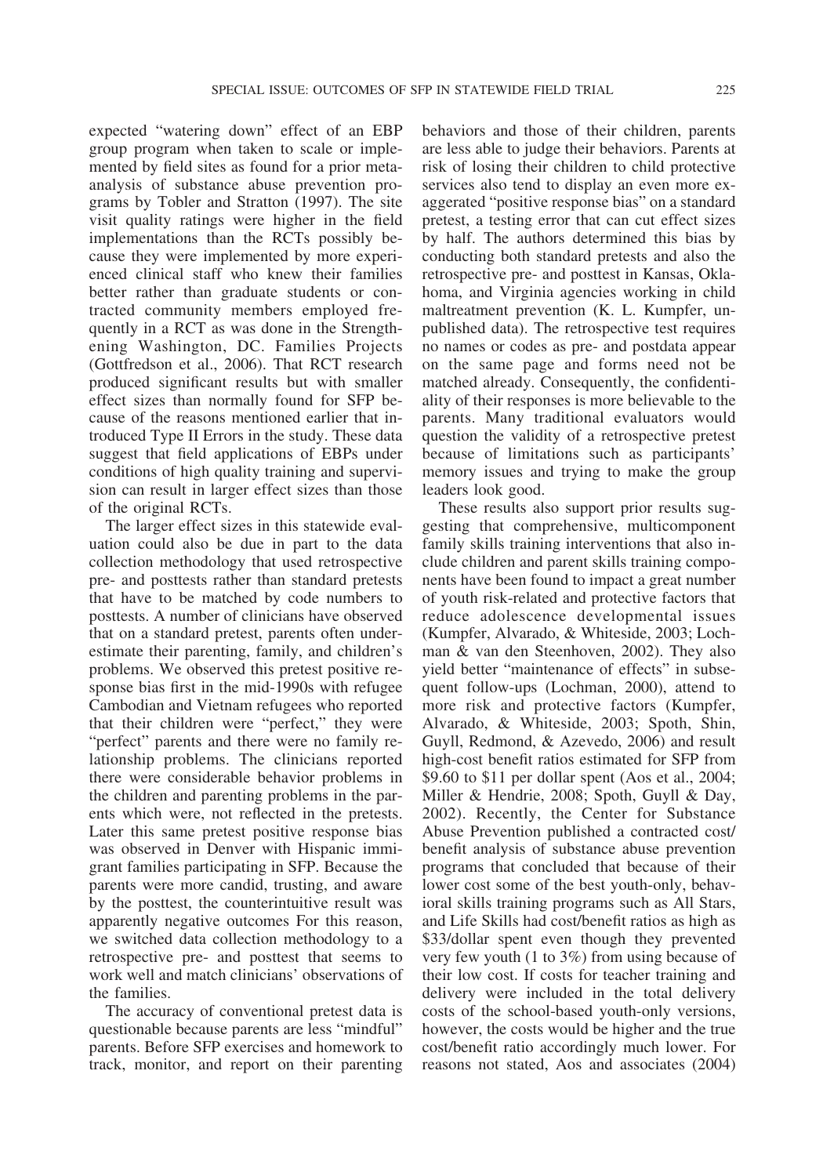expected "watering down" effect of an EBP group program when taken to scale or implemented by field sites as found for a prior metaanalysis of substance abuse prevention programs by Tobler and Stratton (1997). The site visit quality ratings were higher in the field implementations than the RCTs possibly because they were implemented by more experienced clinical staff who knew their families better rather than graduate students or contracted community members employed frequently in a RCT as was done in the Strengthening Washington, DC. Families Projects (Gottfredson et al., 2006). That RCT research produced significant results but with smaller effect sizes than normally found for SFP because of the reasons mentioned earlier that introduced Type II Errors in the study. These data suggest that field applications of EBPs under conditions of high quality training and supervision can result in larger effect sizes than those of the original RCTs.

The larger effect sizes in this statewide evaluation could also be due in part to the data collection methodology that used retrospective pre- and posttests rather than standard pretests that have to be matched by code numbers to posttests. A number of clinicians have observed that on a standard pretest, parents often underestimate their parenting, family, and children's problems. We observed this pretest positive response bias first in the mid-1990s with refugee Cambodian and Vietnam refugees who reported that their children were "perfect," they were "perfect" parents and there were no family relationship problems. The clinicians reported there were considerable behavior problems in the children and parenting problems in the parents which were, not reflected in the pretests. Later this same pretest positive response bias was observed in Denver with Hispanic immigrant families participating in SFP. Because the parents were more candid, trusting, and aware by the posttest, the counterintuitive result was apparently negative outcomes For this reason, we switched data collection methodology to a retrospective pre- and posttest that seems to work well and match clinicians' observations of the families.

The accuracy of conventional pretest data is questionable because parents are less "mindful" parents. Before SFP exercises and homework to track, monitor, and report on their parenting

behaviors and those of their children, parents are less able to judge their behaviors. Parents at risk of losing their children to child protective services also tend to display an even more exaggerated "positive response bias" on a standard pretest, a testing error that can cut effect sizes by half. The authors determined this bias by conducting both standard pretests and also the retrospective pre- and posttest in Kansas, Oklahoma, and Virginia agencies working in child maltreatment prevention (K. L. Kumpfer, unpublished data). The retrospective test requires no names or codes as pre- and postdata appear on the same page and forms need not be matched already. Consequently, the confidentiality of their responses is more believable to the parents. Many traditional evaluators would question the validity of a retrospective pretest because of limitations such as participants' memory issues and trying to make the group leaders look good.

These results also support prior results suggesting that comprehensive, multicomponent family skills training interventions that also include children and parent skills training components have been found to impact a great number of youth risk-related and protective factors that reduce adolescence developmental issues (Kumpfer, Alvarado, & Whiteside, 2003; Lochman & van den Steenhoven, 2002). They also yield better "maintenance of effects" in subsequent follow-ups (Lochman, 2000), attend to more risk and protective factors (Kumpfer, Alvarado, & Whiteside, 2003; Spoth, Shin, Guyll, Redmond, & Azevedo, 2006) and result high-cost benefit ratios estimated for SFP from \$9.60 to \$11 per dollar spent (Aos et al., 2004; Miller & Hendrie, 2008; Spoth, Guyll & Day, 2002). Recently, the Center for Substance Abuse Prevention published a contracted cost/ benefit analysis of substance abuse prevention programs that concluded that because of their lower cost some of the best youth-only, behavioral skills training programs such as All Stars, and Life Skills had cost/benefit ratios as high as \$33/dollar spent even though they prevented very few youth (1 to 3%) from using because of their low cost. If costs for teacher training and delivery were included in the total delivery costs of the school-based youth-only versions, however, the costs would be higher and the true cost/benefit ratio accordingly much lower. For reasons not stated, Aos and associates (2004)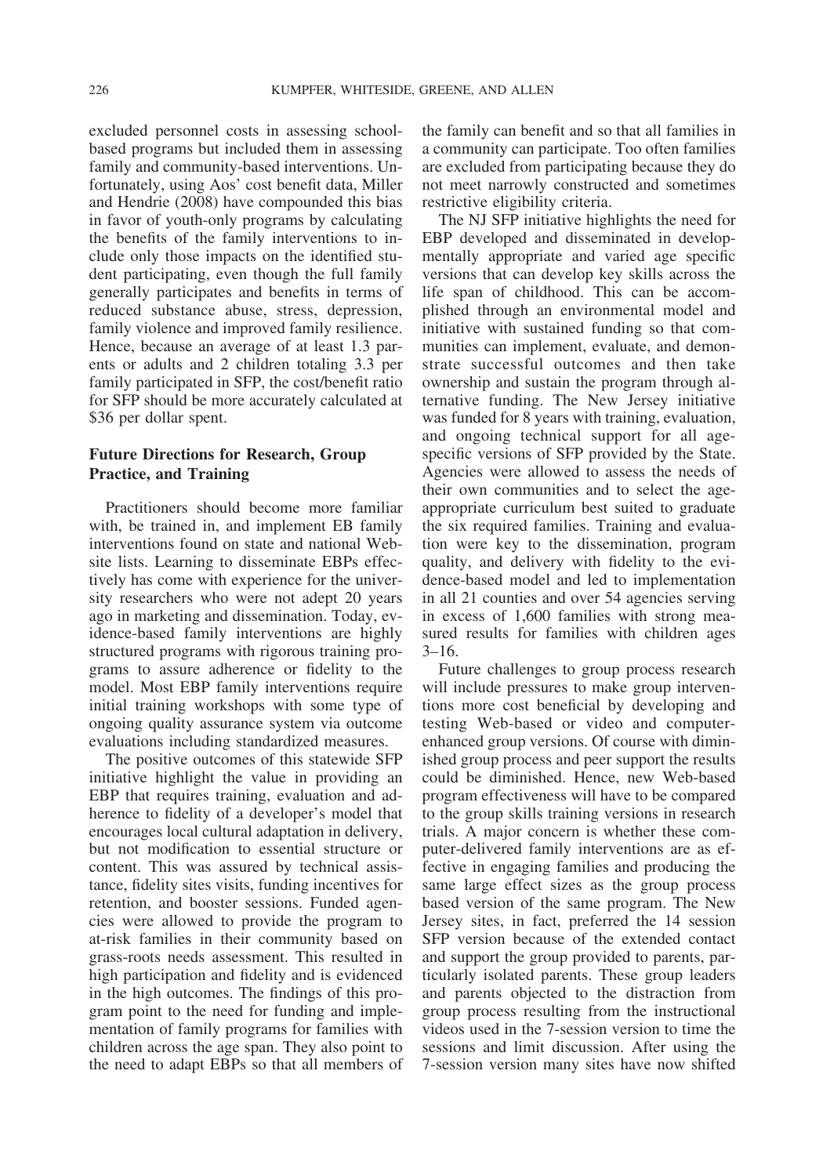excluded personnel costs in assessing schoolbased programs but included them in assessing family and community-based interventions. Unfortunately, using Aos' cost benefit data, Miller and Hendrie (2008) have compounded this bias in favor of youth-only programs by calculating the benefits of the family interventions to include only those impacts on the identified student participating, even though the full family generally participates and benefits in terms of reduced substance abuse, stress, depression, family violence and improved family resilience. Hence, because an average of at least 1.3 parents or adults and 2 children totaling 3.3 per family participated in SFP, the cost/benefit ratio for SFP should be more accurately calculated at \$36 per dollar spent.

# **Future Directions for Research, Group Practice, and Training**

Practitioners should become more familiar with, be trained in, and implement EB family interventions found on state and national Website lists. Learning to disseminate EBPs effectively has come with experience for the university researchers who were not adept 20 years ago in marketing and dissemination. Today, evidence-based family interventions are highly structured programs with rigorous training programs to assure adherence or fidelity to the model. Most EBP family interventions require initial training workshops with some type of ongoing quality assurance system via outcome evaluations including standardized measures.

The positive outcomes of this statewide SFP initiative highlight the value in providing an EBP that requires training, evaluation and adherence to fidelity of a developer's model that encourages local cultural adaptation in delivery, but not modification to essential structure or content. This was assured by technical assistance, fidelity sites visits, funding incentives for retention, and booster sessions. Funded agencies were allowed to provide the program to at-risk families in their community based on grass-roots needs assessment. This resulted in high participation and fidelity and is evidenced in the high outcomes. The findings of this program point to the need for funding and implementation of family programs for families with children across the age span. They also point to the need to adapt EBPs so that all members of

the family can benefit and so that all families in a community can participate. Too often families are excluded from participating because they do not meet narrowly constructed and sometimes restrictive eligibility criteria.

The NJ SFP initiative highlights the need for EBP developed and disseminated in developmentally appropriate and varied age specific versions that can develop key skills across the life span of childhood. This can be accomplished through an environmental model and initiative with sustained funding so that communities can implement, evaluate, and demonstrate successful outcomes and then take ownership and sustain the program through alternative funding. The New Jersey initiative was funded for 8 years with training, evaluation, and ongoing technical support for all agespecific versions of SFP provided by the State. Agencies were allowed to assess the needs of their own communities and to select the ageappropriate curriculum best suited to graduate the six required families. Training and evaluation were key to the dissemination, program quality, and delivery with fidelity to the evidence-based model and led to implementation in all 21 counties and over 54 agencies serving in excess of 1,600 families with strong measured results for families with children ages  $3-16.$ 

Future challenges to group process research will include pressures to make group interventions more cost beneficial by developing and testing Web-based or video and computerenhanced group versions. Of course with diminished group process and peer support the results could be diminished. Hence, new Web-based program effectiveness will have to be compared to the group skills training versions in research trials. A major concern is whether these computer-delivered family interventions are as effective in engaging families and producing the same large effect sizes as the group process based version of the same program. The New Jersey sites, in fact, preferred the 14 session SFP version because of the extended contact and support the group provided to parents, particularly isolated parents. These group leaders and parents objected to the distraction from group process resulting from the instructional videos used in the 7-session version to time the sessions and limit discussion. After using the 7-session version many sites have now shifted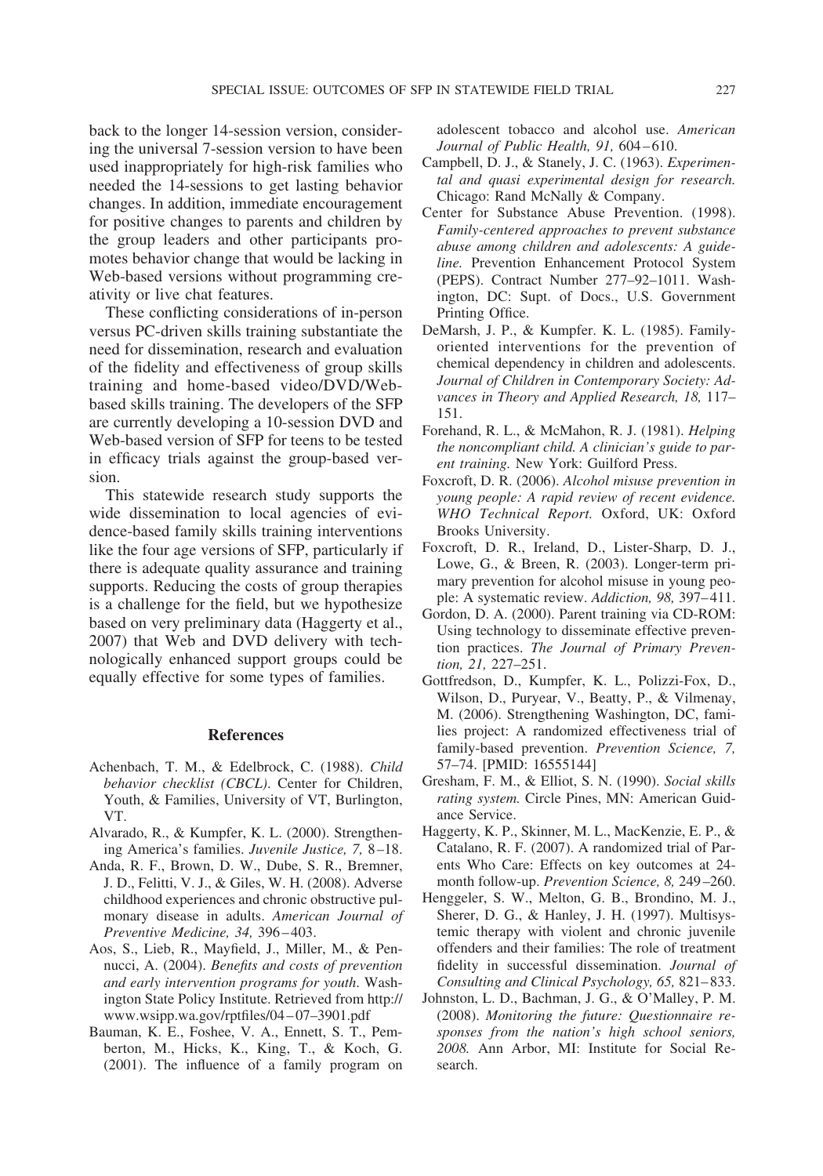back to the longer 14-session version, considering the universal 7-session version to have been used inappropriately for high-risk families who needed the 14-sessions to get lasting behavior changes. In addition, immediate encouragement for positive changes to parents and children by the group leaders and other participants promotes behavior change that would be lacking in Web-based versions without programming creativity or live chat features.

These conflicting considerations of in-person versus PC-driven skills training substantiate the need for dissemination, research and evaluation of the fidelity and effectiveness of group skills training and home-based video/DVD/Webbased skills training. The developers of the SFP are currently developing a 10-session DVD and Web-based version of SFP for teens to be tested in efficacy trials against the group-based version.

This statewide research study supports the wide dissemination to local agencies of evidence-based family skills training interventions like the four age versions of SFP, particularly if there is adequate quality assurance and training supports. Reducing the costs of group therapies is a challenge for the field, but we hypothesize based on very preliminary data (Haggerty et al., 2007) that Web and DVD delivery with technologically enhanced support groups could be equally effective for some types of families.

#### **References**

- Achenbach, T. M., & Edelbrock, C. (1988). *Child behavior checklist (CBCL)*. Center for Children, Youth, & Families, University of VT, Burlington, VT.
- Alvarado, R., & Kumpfer, K. L. (2000). Strengthening America's families. *Juvenile Justice, 7,* 8–18.
- Anda, R. F., Brown, D. W., Dube, S. R., Bremner, J. D., Felitti, V. J., & Giles, W. H. (2008). Adverse childhood experiences and chronic obstructive pulmonary disease in adults. *American Journal of Preventive Medicine, 34,* 396–403.
- Aos, S., Lieb, R., Mayfield, J., Miller, M., & Pennucci, A. (2004). *Benefits and costs of prevention and early intervention programs for youth*. Washington State Policy Institute. Retrieved from http:// www.wsipp.wa.gov/rptfiles/04–07–3901.pdf
- Bauman, K. E., Foshee, V. A., Ennett, S. T., Pemberton, M., Hicks, K., King, T., & Koch, G. (2001). The influence of a family program on

adolescent tobacco and alcohol use. *American Journal of Public Health, 91,* 604–610.

- Campbell, D. J., & Stanely, J. C. (1963). *Experimental and quasi experimental design for research.* Chicago: Rand McNally & Company.
- Center for Substance Abuse Prevention. (1998). *Family-centered approaches to prevent substance abuse among children and adolescents: A guideline.* Prevention Enhancement Protocol System (PEPS). Contract Number 277–92–1011. Washington, DC: Supt. of Docs., U.S. Government Printing Office.
- DeMarsh, J. P., & Kumpfer. K. L. (1985). Familyoriented interventions for the prevention of chemical dependency in children and adolescents. *Journal of Children in Contemporary Society: Advances in Theory and Applied Research, 18,* 117– 151.
- Forehand, R. L., & McMahon, R. J. (1981). *Helping the noncompliant child. A clinician's guide to parent training.* New York: Guilford Press.
- Foxcroft, D. R. (2006). *Alcohol misuse prevention in young people: A rapid review of recent evidence. WHO Technical Report.* Oxford, UK: Oxford Brooks University.
- Foxcroft, D. R., Ireland, D., Lister-Sharp, D. J., Lowe, G., & Breen, R. (2003). Longer-term primary prevention for alcohol misuse in young people: A systematic review. *Addiction, 98,* 397–411.
- Gordon, D. A. (2000). Parent training via CD-ROM: Using technology to disseminate effective prevention practices. *The Journal of Primary Prevention, 21,* 227–251.
- Gottfredson, D., Kumpfer, K. L., Polizzi-Fox, D., Wilson, D., Puryear, V., Beatty, P., & Vilmenay, M. (2006). Strengthening Washington, DC, families project: A randomized effectiveness trial of family-based prevention. *Prevention Science, 7,* 57–74. [PMID: 16555144]
- Gresham, F. M., & Elliot, S. N. (1990). *Social skills rating system.* Circle Pines, MN: American Guidance Service.
- Haggerty, K. P., Skinner, M. L., MacKenzie, E. P., & Catalano, R. F. (2007). A randomized trial of Parents Who Care: Effects on key outcomes at 24 month follow-up. *Prevention Science, 8,* 249–260.
- Henggeler, S. W., Melton, G. B., Brondino, M. J., Sherer, D. G., & Hanley, J. H. (1997). Multisystemic therapy with violent and chronic juvenile offenders and their families: The role of treatment fidelity in successful dissemination. *Journal of Consulting and Clinical Psychology, 65,* 821–833.
- Johnston, L. D., Bachman, J. G., & O'Malley, P. M. (2008). *Monitoring the future: Questionnaire responses from the nation's high school seniors, 2008.* Ann Arbor, MI: Institute for Social Research.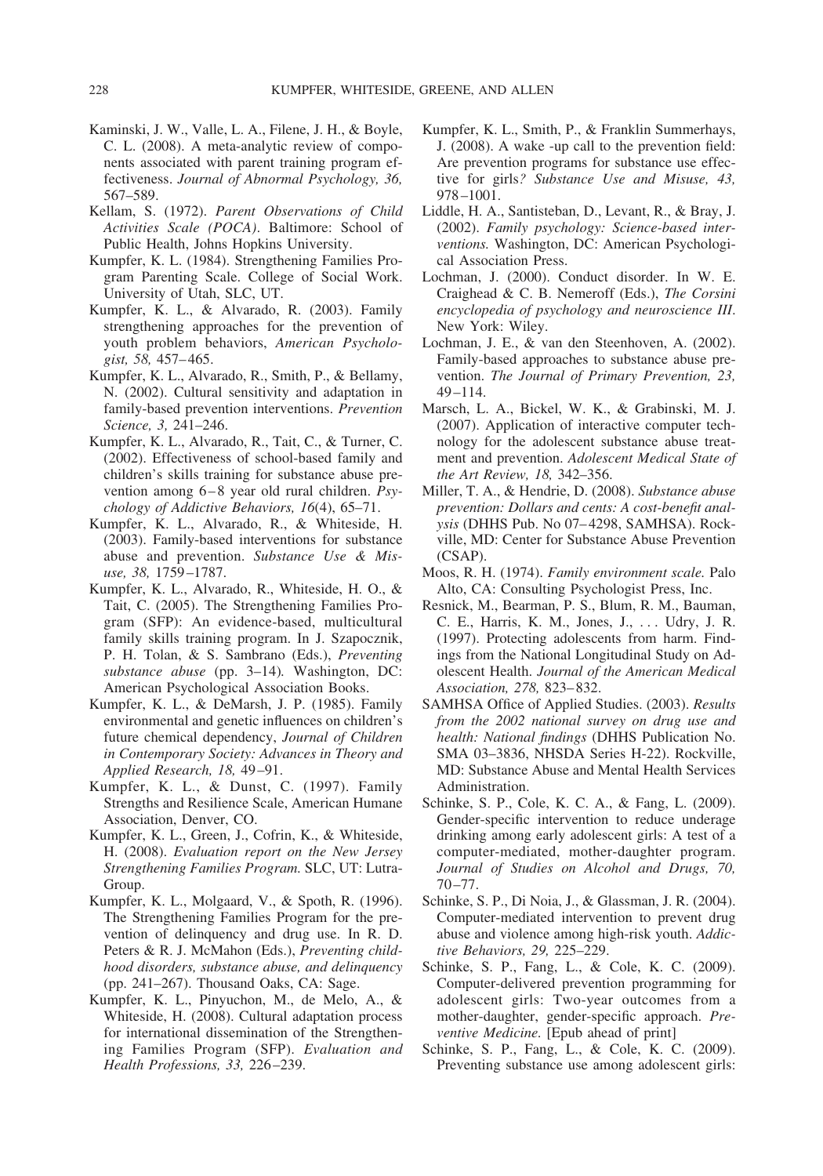- Kaminski, J. W., Valle, L. A., Filene, J. H., & Boyle, C. L. (2008). A meta-analytic review of components associated with parent training program effectiveness. *Journal of Abnormal Psychology, 36,* 567–589.
- Kellam, S. (1972). *Parent Observations of Child Activities Scale (POCA)*. Baltimore: School of Public Health, Johns Hopkins University.
- Kumpfer, K. L. (1984). Strengthening Families Program Parenting Scale. College of Social Work. University of Utah, SLC, UT.
- Kumpfer, K. L., & Alvarado, R. (2003). Family strengthening approaches for the prevention of youth problem behaviors, *American Psychologist, 58,* 457–465.
- Kumpfer, K. L., Alvarado, R., Smith, P., & Bellamy, N. (2002). Cultural sensitivity and adaptation in family-based prevention interventions. *Prevention Science, 3,* 241–246.
- Kumpfer, K. L., Alvarado, R., Tait, C., & Turner, C. (2002). Effectiveness of school-based family and children's skills training for substance abuse prevention among 6–8 year old rural children. *Psychology of Addictive Behaviors, 16*(4), 65–71.
- Kumpfer, K. L., Alvarado, R., & Whiteside, H. (2003). Family-based interventions for substance abuse and prevention. *Substance Use & Misuse, 38,* 1759–1787.
- Kumpfer, K. L., Alvarado, R., Whiteside, H. O., & Tait, C. (2005). The Strengthening Families Program (SFP): An evidence-based, multicultural family skills training program. In J. Szapocznik, P. H. Tolan, & S. Sambrano (Eds.), *Preventing substance abuse* (pp. 3–14)*.* Washington, DC: American Psychological Association Books.
- Kumpfer, K. L., & DeMarsh, J. P. (1985). Family environmental and genetic influences on children's future chemical dependency, *Journal of Children in Contemporary Society: Advances in Theory and Applied Research, 18,* 49–91.
- Kumpfer, K. L., & Dunst, C. (1997). Family Strengths and Resilience Scale, American Humane Association, Denver, CO.
- Kumpfer, K. L., Green, J., Cofrin, K., & Whiteside, H. (2008). *Evaluation report on the New Jersey Strengthening Families Program.* SLC, UT: Lutra-Group.
- Kumpfer, K. L., Molgaard, V., & Spoth, R. (1996). The Strengthening Families Program for the prevention of delinquency and drug use. In R. D. Peters & R. J. McMahon (Eds.), *Preventing childhood disorders, substance abuse, and delinquency* (pp. 241–267). Thousand Oaks, CA: Sage.
- Kumpfer, K. L., Pinyuchon, M., de Melo, A., & Whiteside, H. (2008). Cultural adaptation process for international dissemination of the Strengthening Families Program (SFP). *Evaluation and Health Professions, 33,* 226–239.
- Kumpfer, K. L., Smith, P., & Franklin Summerhays, J. (2008). A wake -up call to the prevention field: Are prevention programs for substance use effective for girls*? Substance Use and Misuse, 43,* 978–1001.
- Liddle, H. A., Santisteban, D., Levant, R., & Bray, J. (2002). *Family psychology: Science-based interventions.* Washington, DC: American Psychological Association Press.
- Lochman, J. (2000). Conduct disorder. In W. E. Craighead & C. B. Nemeroff (Eds.), *The Corsini encyclopedia of psychology and neuroscience III*. New York: Wiley.
- Lochman, J. E., & van den Steenhoven, A. (2002). Family-based approaches to substance abuse prevention. *The Journal of Primary Prevention, 23,* 49–114.
- Marsch, L. A., Bickel, W. K., & Grabinski, M. J. (2007). Application of interactive computer technology for the adolescent substance abuse treatment and prevention. *Adolescent Medical State of the Art Review, 18,* 342–356.
- Miller, T. A., & Hendrie, D. (2008). *Substance abuse prevention: Dollars and cents: A cost-benefit analysis* (DHHS Pub. No 07–4298, SAMHSA). Rockville, MD: Center for Substance Abuse Prevention (CSAP).
- Moos, R. H. (1974). *Family environment scale.* Palo Alto, CA: Consulting Psychologist Press, Inc.
- Resnick, M., Bearman, P. S., Blum, R. M., Bauman, C. E., Harris, K. M., Jones, J., . . . Udry, J. R. (1997). Protecting adolescents from harm. Findings from the National Longitudinal Study on Adolescent Health. *Journal of the American Medical Association, 278,* 823–832.
- SAMHSA Office of Applied Studies. (2003). *Results from the 2002 national survey on drug use and health: National findings* (DHHS Publication No. SMA 03–3836, NHSDA Series H-22). Rockville, MD: Substance Abuse and Mental Health Services Administration.
- Schinke, S. P., Cole, K. C. A., & Fang, L. (2009). Gender-specific intervention to reduce underage drinking among early adolescent girls: A test of a computer-mediated, mother-daughter program. *Journal of Studies on Alcohol and Drugs, 70,* 70–77.
- Schinke, S. P., Di Noia, J., & Glassman, J. R. (2004). Computer-mediated intervention to prevent drug abuse and violence among high-risk youth. *Addictive Behaviors, 29,* 225–229.
- Schinke, S. P., Fang, L., & Cole, K. C. (2009). Computer-delivered prevention programming for adolescent girls: Two-year outcomes from a mother-daughter, gender-specific approach. *Preventive Medicine.* [Epub ahead of print]
- Schinke, S. P., Fang, L., & Cole, K. C. (2009). Preventing substance use among adolescent girls: